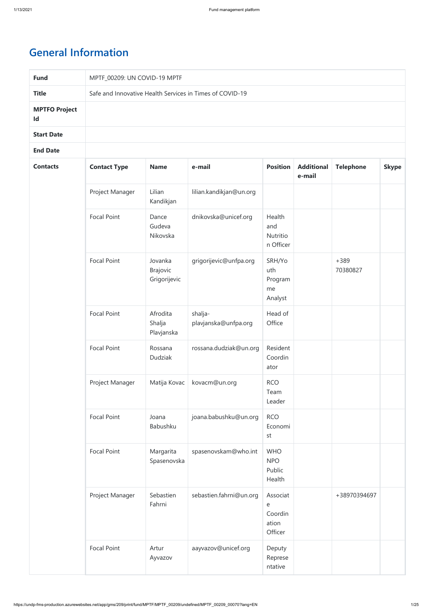# **General Information**

| <b>Fund</b>                |                     | MPTF_00209: UN COVID-19 MPTF               |                                                          |                                              |                             |                    |              |  |  |
|----------------------------|---------------------|--------------------------------------------|----------------------------------------------------------|----------------------------------------------|-----------------------------|--------------------|--------------|--|--|
| <b>Title</b>               |                     |                                            | Safe and Innovative Health Services in Times of COVID-19 |                                              |                             |                    |              |  |  |
| <b>MPTFO Project</b><br>Id |                     |                                            |                                                          |                                              |                             |                    |              |  |  |
| <b>Start Date</b>          |                     |                                            |                                                          |                                              |                             |                    |              |  |  |
| <b>End Date</b>            |                     |                                            |                                                          |                                              |                             |                    |              |  |  |
| <b>Contacts</b>            | <b>Contact Type</b> | <b>Name</b>                                | e-mail                                                   | <b>Position</b>                              | <b>Additional</b><br>e-mail | <b>Telephone</b>   | <b>Skype</b> |  |  |
|                            | Project Manager     | Lilian<br>Kandikjan                        | lilian.kandikjan@un.org                                  |                                              |                             |                    |              |  |  |
|                            | <b>Focal Point</b>  | Dance<br>Gudeva<br>Nikovska                | dnikovska@unicef.org                                     | Health<br>and<br>Nutritio<br>n Officer       |                             |                    |              |  |  |
|                            | <b>Focal Point</b>  | Jovanka<br><b>Brajovic</b><br>Grigorijevic | grigorijevic@unfpa.org                                   | SRH/Yo<br>uth<br>Program<br>me<br>Analyst    |                             | $+389$<br>70380827 |              |  |  |
|                            | <b>Focal Point</b>  | Afrodita<br>Shalja<br>Plavjanska           | shalja-<br>plavjanska@unfpa.org                          | Head of<br>Office                            |                             |                    |              |  |  |
|                            | <b>Focal Point</b>  | Rossana<br>Dudziak                         | rossana.dudziak@un.org                                   | Resident<br>Coordin<br>ator                  |                             |                    |              |  |  |
|                            | Project Manager     | Matija Kovac                               | kovacm@un.org                                            | <b>RCO</b><br>Team<br>Leader                 |                             |                    |              |  |  |
|                            | <b>Focal Point</b>  | Joana<br>Babushku                          | joana.babushku@un.org                                    | <b>RCO</b><br>Economi<br>st                  |                             |                    |              |  |  |
|                            | <b>Focal Point</b>  | Margarita<br>Spasenovska                   | spasenovskam@who.int                                     | <b>WHO</b><br><b>NPO</b><br>Public<br>Health |                             |                    |              |  |  |
|                            | Project Manager     | Sebastien<br>Fahrni                        | sebastien.fahrni@un.org                                  | Associat<br>e<br>Coordin<br>ation<br>Officer |                             | +38970394697       |              |  |  |
|                            | Focal Point         | Artur<br>Ayvazov                           | aayvazov@unicef.org                                      | Deputy<br>Represe<br>ntative                 |                             |                    |              |  |  |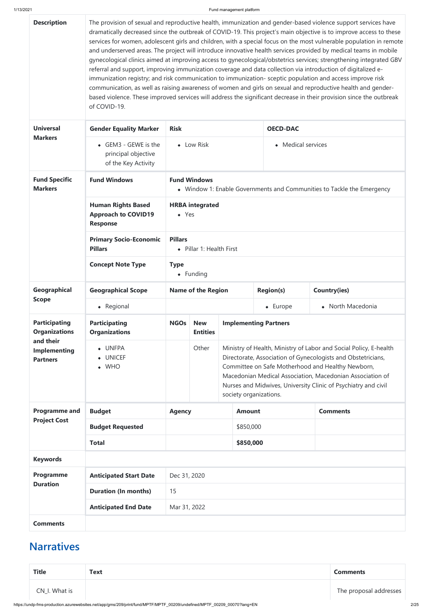https://undp-fms-production.azurewebsites.net/app/gms/209/print/fund/MPTF/MPTF\_00209/undefined/MPTF\_00209\_00070?lang=EN 2/25

| <b>Description</b>                                                                                                               | of COVID-19.                                                               | The provision of sexual and reproductive health, immunization and gender-based violence support services have<br>dramatically decreased since the outbreak of COVID-19. This project's main objective is to improve access to these<br>services for women, adolescent girls and children, with a special focus on the most vulnerable population in remote<br>and underserved areas. The project will introduce innovative health services provided by medical teams in mobile<br>gynecological clinics aimed at improving access to gynecological/obstetrics services; strengthening integrated GBV<br>referral and support, improving immunization coverage and data collection via introduction of digitalized e-<br>immunization registry; and risk communication to immunization- sceptic population and access improve risk<br>communication, as well as raising awareness of women and girls on sexual and reproductive health and gender-<br>based violence. These improved services will address the significant decrease in their provision since the outbreak |                               |                                                                                                                                                                                                                                                                                                                                                 |                              |                     |  |
|----------------------------------------------------------------------------------------------------------------------------------|----------------------------------------------------------------------------|--------------------------------------------------------------------------------------------------------------------------------------------------------------------------------------------------------------------------------------------------------------------------------------------------------------------------------------------------------------------------------------------------------------------------------------------------------------------------------------------------------------------------------------------------------------------------------------------------------------------------------------------------------------------------------------------------------------------------------------------------------------------------------------------------------------------------------------------------------------------------------------------------------------------------------------------------------------------------------------------------------------------------------------------------------------------------|-------------------------------|-------------------------------------------------------------------------------------------------------------------------------------------------------------------------------------------------------------------------------------------------------------------------------------------------------------------------------------------------|------------------------------|---------------------|--|
| <b>Universal</b>                                                                                                                 | <b>Gender Equality Marker</b><br><b>Risk</b>                               |                                                                                                                                                                                                                                                                                                                                                                                                                                                                                                                                                                                                                                                                                                                                                                                                                                                                                                                                                                                                                                                                          |                               |                                                                                                                                                                                                                                                                                                                                                 | <b>OECD-DAC</b>              |                     |  |
| <b>Markers</b><br>• GEM3 - GEWE is the<br>$\bullet$ Low Risk<br>• Medical services<br>principal objective<br>of the Key Activity |                                                                            |                                                                                                                                                                                                                                                                                                                                                                                                                                                                                                                                                                                                                                                                                                                                                                                                                                                                                                                                                                                                                                                                          |                               |                                                                                                                                                                                                                                                                                                                                                 |                              |                     |  |
| <b>Fund Specific</b><br><b>Markers</b>                                                                                           | <b>Fund Windows</b>                                                        | <b>Fund Windows</b><br>• Window 1: Enable Governments and Communities to Tackle the Emergency                                                                                                                                                                                                                                                                                                                                                                                                                                                                                                                                                                                                                                                                                                                                                                                                                                                                                                                                                                            |                               |                                                                                                                                                                                                                                                                                                                                                 |                              |                     |  |
|                                                                                                                                  | <b>Human Rights Based</b><br><b>Approach to COVID19</b><br><b>Response</b> | <b>HRBA</b> integrated<br>$\bullet$ Yes                                                                                                                                                                                                                                                                                                                                                                                                                                                                                                                                                                                                                                                                                                                                                                                                                                                                                                                                                                                                                                  |                               |                                                                                                                                                                                                                                                                                                                                                 |                              |                     |  |
|                                                                                                                                  | <b>Primary Socio-Economic</b><br><b>Pillars</b>                            | <b>Pillars</b><br>• Pillar 1: Health First                                                                                                                                                                                                                                                                                                                                                                                                                                                                                                                                                                                                                                                                                                                                                                                                                                                                                                                                                                                                                               |                               |                                                                                                                                                                                                                                                                                                                                                 |                              |                     |  |
|                                                                                                                                  | <b>Concept Note Type</b>                                                   | <b>Type</b>                                                                                                                                                                                                                                                                                                                                                                                                                                                                                                                                                                                                                                                                                                                                                                                                                                                                                                                                                                                                                                                              | $\bullet$ Funding             |                                                                                                                                                                                                                                                                                                                                                 |                              |                     |  |
| <b>Geographical</b>                                                                                                              | <b>Geographical Scope</b>                                                  |                                                                                                                                                                                                                                                                                                                                                                                                                                                                                                                                                                                                                                                                                                                                                                                                                                                                                                                                                                                                                                                                          | <b>Name of the Region</b>     |                                                                                                                                                                                                                                                                                                                                                 | <b>Region(s)</b>             | <b>Country(ies)</b> |  |
| <b>Scope</b>                                                                                                                     | • Regional                                                                 |                                                                                                                                                                                                                                                                                                                                                                                                                                                                                                                                                                                                                                                                                                                                                                                                                                                                                                                                                                                                                                                                          |                               |                                                                                                                                                                                                                                                                                                                                                 | $\bullet$ Europe             | • North Macedonia   |  |
| <b>Participating</b><br><b>Organizations</b>                                                                                     | <b>Participating</b><br><b>Organizations</b>                               | <b>NGOs</b>                                                                                                                                                                                                                                                                                                                                                                                                                                                                                                                                                                                                                                                                                                                                                                                                                                                                                                                                                                                                                                                              | <b>New</b><br><b>Entities</b> |                                                                                                                                                                                                                                                                                                                                                 | <b>Implementing Partners</b> |                     |  |
| and their<br><b>Implementing</b><br><b>Partners</b>                                                                              | <b>UNFPA</b><br>٠<br><b>UNICEF</b><br>$\bullet$ WHO                        |                                                                                                                                                                                                                                                                                                                                                                                                                                                                                                                                                                                                                                                                                                                                                                                                                                                                                                                                                                                                                                                                          | Other                         | Ministry of Health, Ministry of Labor and Social Policy, E-health<br>Directorate, Association of Gynecologists and Obstetricians,<br>Committee on Safe Motherhood and Healthy Newborn,<br>Macedonian Medical Association, Macedonian Association of<br>Nurses and Midwives, University Clinic of Psychiatry and civil<br>society organizations. |                              |                     |  |
| <b>Programme and</b>                                                                                                             | <b>Budget</b>                                                              | <b>Agency</b>                                                                                                                                                                                                                                                                                                                                                                                                                                                                                                                                                                                                                                                                                                                                                                                                                                                                                                                                                                                                                                                            |                               | <b>Amount</b>                                                                                                                                                                                                                                                                                                                                   |                              | <b>Comments</b>     |  |
| <b>Project Cost</b>                                                                                                              | <b>Budget Requested</b>                                                    |                                                                                                                                                                                                                                                                                                                                                                                                                                                                                                                                                                                                                                                                                                                                                                                                                                                                                                                                                                                                                                                                          |                               | \$850,000                                                                                                                                                                                                                                                                                                                                       |                              |                     |  |
|                                                                                                                                  | <b>Total</b>                                                               |                                                                                                                                                                                                                                                                                                                                                                                                                                                                                                                                                                                                                                                                                                                                                                                                                                                                                                                                                                                                                                                                          |                               | \$850,000                                                                                                                                                                                                                                                                                                                                       |                              |                     |  |
| <b>Keywords</b>                                                                                                                  |                                                                            |                                                                                                                                                                                                                                                                                                                                                                                                                                                                                                                                                                                                                                                                                                                                                                                                                                                                                                                                                                                                                                                                          |                               |                                                                                                                                                                                                                                                                                                                                                 |                              |                     |  |

| <b>Programme</b> | <b>Anticipated Start Date</b> | Dec 31, 2020 |
|------------------|-------------------------------|--------------|
| <b>Duration</b>  | <b>Duration (In months)</b>   | 15           |
|                  | <b>Anticipated End Date</b>   | Mar 31, 2022 |
| <b>Comments</b>  |                               |              |

# **Narratives**

| <b>Title</b>  | <b>Text</b> | <b>Comments</b>        |
|---------------|-------------|------------------------|
| CN_I. What is |             | The proposal addresses |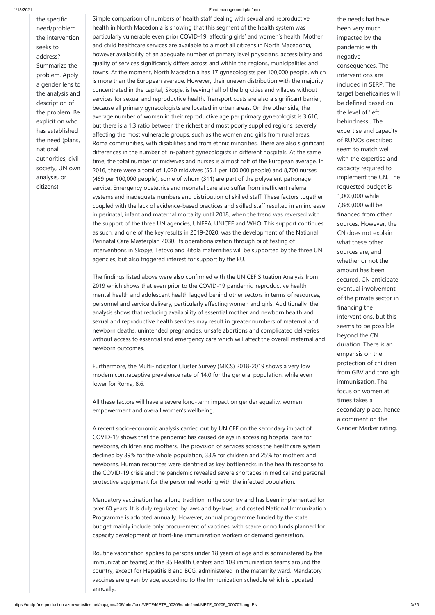the specific need/problem the intervention seeks to address? Summarize the problem. Apply a gender lens to the analysis and description of the problem. Be explicit on who has established the need (plans, national authorities, civil society, UN own analysis, or citizens).

Simple comparison of numbers of health staff dealing with sexual and reproductive health in North Macedonia is showing that this segment of the health system was particularly vulnerable even prior COVID-19, affecting girls' and women's health. Mother and child healthcare services are available to almost all citizens in North Macedonia, however availability of an adequate number of primary level physicians, accessibility and quality of services significantly differs across and within the regions, municipalities and towns. At the moment, North Macedonia has 17 gynecologists per 100,000 people, which is more than the European average. However, their uneven distribution with the majority concentrated in the capital, Skopje, is leaving half of the big cities and villages without services for sexual and reproductive health. Transport costs are also a significant barrier, because all primary gynecologists are located in urban areas. On the other side, the average number of women in their reproductive age per primary gynecologist is 3,610, but there is a 1:3 ratio between the richest and most poorly supplied regions, severely affecting the most vulnerable groups, such as the women and girls from rural areas, Roma communities, with disabilities and from ethnic minorities. There are also significant differences in the number of in-patient gynecologists in different hospitals. At the same time, the total number of midwives and nurses is almost half of the European average. In 2016, there were a total of 1,020 midwives (55.1 per 100,000 people) and 8,700 nurses (469 per 100,000 people), some of whom (311) are part of the polyvalent patronage service. Emergency obstetrics and neonatal care also suffer from inefficient referral systems and inadequate numbers and distribution of skilled staff. These factors together coupled with the lack of evidence-based practices and skilled staff resulted in an increase in perinatal, infant and maternal mortality until 2018, when the trend was reversed with the support of the three UN agencies, UNFPA, UNICEF and WHO. This support continues as such, and one of the key results in 2019-2020, was the development of the National Perinatal Care Masterplan 2030. Its operationalization through pilot testing of interventions in Skopje, Tetovo and Bitola maternities will be supported by the three UN agencies, but also triggered interest for support by the EU.

The findings listed above were also confirmed with the UNICEF Situation Analysis from 2019 which shows that even prior to the COVID-19 pandemic, reproductive health, mental health and adolescent health lagged behind other sectors in terms of resources, personnel and service delivery, particularly affecting women and girls. Additionally, the analysis shows that reducing availability of essential mother and newborn health and sexual and reproductive health services may result in greater numbers of maternal and newborn deaths, unintended pregnancies, unsafe abortions and complicated deliveries without access to essential and emergency care which will affect the overall maternal and newborn outcomes.

Furthermore, the Multi-indicator Cluster Survey (MICS) 2018-2019 shows a very low modern contraceptive prevalence rate of 14.0 for the general population, while even lower for Roma, 8.6.

All these factors will have a severe long-term impact on gender equality, women empowerment and overall women's wellbeing.

A recent socio-economic analysis carried out by UNICEF on the secondary impact of COVID-19 shows that the pandemic has caused delays in accessing hospital care for newborns, children and mothers. The provision of services across the healthcare system declined by 39% for the whole population, 33% for children and 25% for mothers and newborns. Human resources were identified as key bottlenecks in the health response to the COVID-19 crisis and the pandemic revealed severe shortages in medical and personal protective equipment for the personnel working with the infected population.

Mandatory vaccination has a long tradition in the country and has been implemented for over 60 years. It is duly regulated by laws and by-laws, and costed National Immunization Programme is adopted annually. However, annual programme funded by the state budget mainly include only procurement of vaccines, with scarce or no funds planned for capacity development of front-line immunization workers or demand generation.

Routine vaccination applies to persons under 18 years of age and is administered by the immunization teams) at the 35 Health Centers and 103 immunization teams around the country, except for Hepatitis B and BCG, administered in the maternity ward. Mandatory vaccines are given by age, according to the Immunization schedule which is updated annually.

the needs hat have been very much impacted by the pandemic with negative consequences. The interventions are included in SERP. The target beneficairies will be defined based on the level of 'left behindness'. The expertise and capacity of RUNOs described seem to match well with the expertise and capacity required to implement the CN. The requested budget is 1,000,000 while 7,880,000 will be financed from other sources. However, the CN does not explain what these other sources are, and whether or not the amount has been secured. CN anticipate eventual involvement of the private sector in financing the interventions, but this seems to be possible beyond the CN duration. There is an empahsis on the protection of children from GBV and through immunisation. The focus on women at times takes a secondary place, hence a comment on the Gender Marker rating.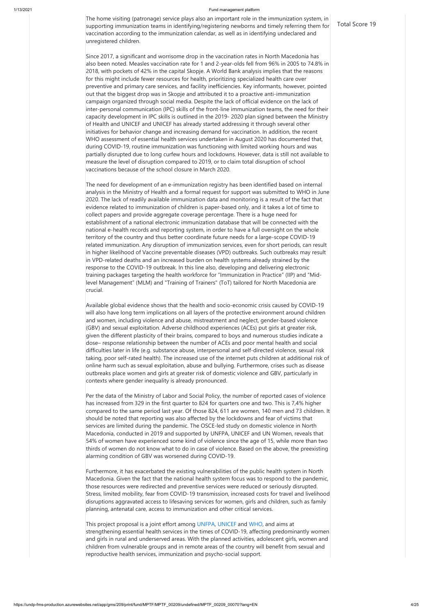The home visiting (patronage) service plays also an important role in the immunization system, in supporting immunization teams in identifying/registering newborns and timely referring them for vaccination according to the immunization calendar, as well as in identifying undeclared and unregistered children.

Since 2017, a significant and worrisome drop in the vaccination rates in North Macedonia has also been noted. Measles vaccination rate for 1 and 2-year-olds fell from 96% in 2005 to 74.8% in 2018, with pockets of 42% in the capital Skopje. A World Bank analysis implies that the reasons for this might include fewer resources for health, prioritizing specialized health care over preventive and primary care services, and facility inefficiencies. Key informants, however, pointed out that the biggest drop was in Skopje and attributed it to a proactive anti-immunization campaign organized through social media. Despite the lack of official evidence on the lack of inter-personal communication (IPC) skills of the front-line immunization teams, the need for their capacity development in IPC skills is outlined in the 2019- 2020 plan signed between the Ministry of Health and UNICEF and UNICEF has already started addressing it through several other initiatives for behavior change and increasing demand for vaccination. In addition, the recent WHO assessment of essential health services undertaken in August 2020 has documented that, during COVID-19, routine immunization was functioning with limited working hours and was partially disrupted due to long curfew hours and lockdowns. However, data is still not available to measure the level of disruption compared to 2019, or to claim total disruption of school vaccinations because of the school closure in March 2020.

The need for development of an e-immunization registry has been identified based on internal analysis in the Ministry of Health and a formal request for support was submitted to WHO in June 2020. The lack of readily available immunization data and monitoring is a result of the fact that evidence related to immunization of children is paper-based only, and it takes a lot of time to collect papers and provide aggregate coverage percentage. There is a huge need for establishment of a national electronic immunization database that will be connected with the national e-health records and reporting system, in order to have a full oversight on the whole territory of the country and thus better coordinate future needs for a large-scope COVID-19 related immunization. Any disruption of immunization services, even for short periods, can result in higher likelihood of Vaccine preventable diseases (VPD) outbreaks. Such outbreaks may result in VPD-related deaths and an increased burden on health systems already strained by the response to the COVID-19 outbreak. In this line also, developing and delivering electronic training packages targeting the health workforce for "Immunization in Practice" (IIP) and "Midlevel Management" (MLM) and "Training of Trainers" (ToT) tailored for North Macedonia are crucial.

This project proposal is a joint effort among UNFPA, UNICEF and WHO, and aims at strengthening essential health services in the times of COVID-19, affecting predominantly women and girls in rural and underserved areas. With the planned activities, adolescent girls, women and children from vulnerable groups and in remote areas of the country will benefit from sexual and reproductive health services, immunization and psycho-social support.

Available global evidence shows that the health and socio-economic crisis caused by COVID-19 will also have long term implications on all layers of the protective environment around children and women, including violence and abuse, mistreatment and neglect, gender-based violence (GBV) and sexual exploitation. Adverse childhood experiences (ACEs) put girls at greater risk, given the different plasticity of their brains, compared to boys and numerous studies indicate a dose– response relationship between the number of ACEs and poor mental health and social difficulties later in life (e.g. substance abuse, interpersonal and self-directed violence, sexual risk taking, poor self-rated health). The increased use of the internet puts children at additional risk of online harm such as sexual exploitation, abuse and bullying. Furthermore, crises such as disease outbreaks place women and girls at greater risk of domestic violence and GBV, particularly in contexts where gender inequality is already pronounced.

Per the data of the Ministry of Labor and Social Policy, the number of reported cases of violence has increased from 329 in the first quarter to 824 for quarters one and two. This is 7,4% higher compared to the same period last year. Of those 824, 611 are women, 140 men and 73 children. It should be noted that reporting was also affected by the lockdowns and fear of victims that services are limited during the pandemic. The OSCE-led study on domestic violence in North Macedonia, conducted in 2019 and supported by UNFPA, UNICEF and UN Women, reveals that 54% of women have experienced some kind of violence since the age of 15, while more than two thirds of women do not know what to do in case of violence. Based on the above, the preexisting alarming condition of GBV was worsened during COVID-19.

Furthermore, it has exacerbated the existing vulnerabilities of the public health system in North Macedonia. Given the fact that the national health system focus was to respond to the pandemic, those resources were redirected and preventive services were reduced or seriously disrupted. Stress, limited mobility, fear from COVID-19 transmission, increased costs for travel and livelihood disruptions aggravated access to lifesaving services for women, girls and children, such as family planning, antenatal care, access to immunization and other critical services.

Total Score 19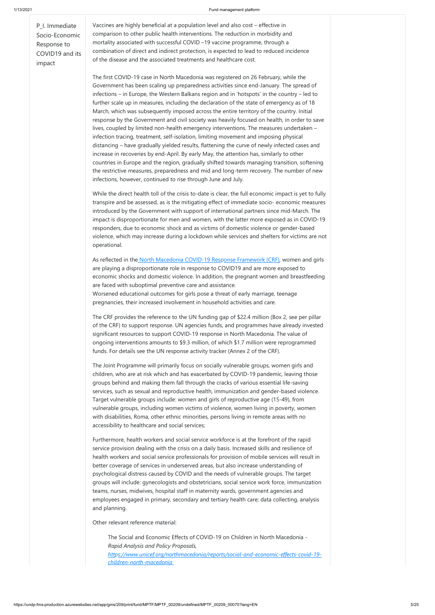https://undp-fms-production.azurewebsites.net/app/gms/209/print/fund/MPTF/MPTF\_00209/undefined/MPTF\_00209\_00070?lang=EN 5/25

P\_I. Immediate Socio-Economic Response to COVID19 and its impact

Vaccines are highly beneficial at a population level and also cost – effective in comparison to other public health interventions. The reduction in morbidity and mortality associated with successful COVID –19 vaccine programme, through a combination of direct and indirect protection, is expected to lead to reduced incidence of the disease and the associated treatments and healthcare cost.

The first COVID-19 case in North Macedonia was registered on 26 February, while the Government has been scaling up preparedness activities since end-January. The spread of infections – in Europe, the Western Balkans region and in 'hotspots' in the country – led to further scale up in measures, including the declaration of the state of emergency as of 18 March, which was subsequently imposed across the entire territory of the country. Initial response by the Government and civil society was heavily focused on health, in order to save lives, coupled by limited non-health emergency interventions. The measures undertaken – infection tracing, treatment, self-isolation, limiting movement and imposing physical distancing – have gradually yielded results, flattening the curve of newly infected cases and increase in recoveries by end-April. By early May, the attention has, similarly to other countries in Europe and the region, gradually shifted towards managing transition, softening the restrictive measures, preparedness and mid and long-term recovery. The number of new infections, however, continued to rise through June and July.

As reflected in the [North Macedonia COVID-19 Response Framework \(CRF\),](https://northmacedonia.un.org/sites/default/files/2020-10/MKD-COVID_19-Response-Framework-20200730_costed.pdf) women and girls are playing a disproportionate role in response to COVID19 and are more exposed to economic shocks and domestic violence. In addition, the pregnant women and breastfeeding are faced with suboptimal preventive care and assistance. Worsened educational outcomes for girls pose a threat of early marriage, teenage pregnancies, their increased involvement in household activities and care.

While the direct health toll of the crisis to-date is clear, the full economic impact is yet to fully transpire and be assessed, as is the mitigating effect of immediate socio- economic measures introduced by the Government with support of international partners since mid-March. The impact is disproportionate for men and women, with the latter more exposed as in COVID-19 responders, due to economic shock and as victims of domestic violence or gender-based violence, which may increase during a lockdown while services and shelters for victims are not operational.

The CRF provides the reference to the UN funding gap of \$22.4 million (Box 2, see per pillar of the CRF) to support response. UN agencies funds, and programmes have already invested significant resources to support COVID-19 response in North Macedonia. The value of ongoing interventions amounts to \$9.3 million, of which \$1.7 million were reprogrammed funds. For details see the UN response activity tracker (Annex 2 of the CRF).

The Joint Programme will primarily focus on socially vulnerable groups, women girls and children, who are at risk which and has exacerbated by COVID-19 pandemic, leaving those groups behind and making them fall through the cracks of various essential life-saving services, such as sexual and reproductive health, immunization and gender-based violence. Target vulnerable groups include: women and girls of reproductive age (15-49), from vulnerable groups, including women victims of violence, women living in poverty, women with disabilities, Roma, other ethnic minorities, persons living in remote areas with no accessibility to healthcare and social services;

Furthermore, health workers and social service workforce is at the forefront of the rapid service provision dealing with the crisis on a daily basis. Increased skills and resilience of health workers and social service professionals for provision of mobile services will result in better coverage of services in underserved areas, but also increase understanding of psychological distress caused by COVID and the needs of vulnerable groups. The target groups will include: gynecologists and obstetricians, social service work force, immunization teams, nurses, midwives, hospital staff in maternity wards, government agencies and employees engaged in primary, secondary and tertiary health care; data collecting, analysis and planning.

Other relevant reference material:

The Social and Economic Effects of COVID-19 on Children in North Macedonia - *Rapid Analysis and Policy Proposals, [https://www.unicef.org/northmacedonia/reports/social-and-economic-effects-covid-19](https://www.unicef.org/northmacedonia/reports/social-and-economic-effects-covid-19-children-north-macedonia) [children-north-macedonia](https://www.unicef.org/northmacedonia/reports/social-and-economic-effects-covid-19-children-north-macedonia)*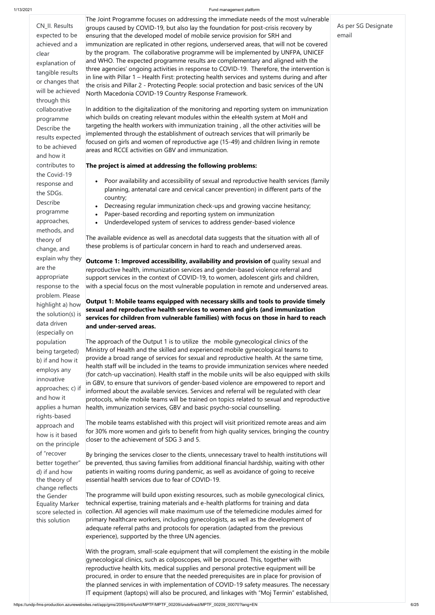on the principle

of "recover

d) if and how the theory of change reflects the Gender Equality Marker score selected in this solution

better together" be prevented, thus saving families from additional financial hardship, waiting with other By bringing the services closer to the clients, unnecessary travel to health institutions will patients in waiting rooms during pandemic, as well as avoidance of going to receive essential health services due to fear of COVID-19.

| CN_II. Results<br>expected to be<br>achieved and a<br>clear<br>explanation of<br>tangible results<br>or changes that<br>will be achieved<br>through this<br>collaborative<br>programme<br>Describe the<br>results expected<br>to be achieved<br>and how it | The Joint Programme focuses on addressing the immediate needs of the most vulnerable<br>groups caused by COVID-19, but also lay the foundation for post-crisis recovery by<br>ensuring that the developed model of mobile service provision for SRH and<br>immunization are replicated in other regions, underserved areas, that will not be covered<br>by the program. The collaborative programme will be implemented by UNFPA, UNICEF<br>and WHO. The expected programme results are complementary and aligned with the<br>three agencies' ongoing activities in response to COVID-19. Therefore, the intervention is<br>in line with Pillar 1 – Health First: protecting health services and systems during and after<br>the crisis and Pillar 2 - Protecting People: social protection and basic services of the UN<br>North Macedonia COVID-19 Country Response Framework.<br>In addition to the digitalization of the monitoring and reporting system on immunization<br>which builds on creating relevant modules within the eHealth system at MoH and<br>targeting the health workers with immunization training, all the other activities will be<br>implemented through the establishment of outreach services that will primarily be<br>focused on girls and women of reproductive age (15-49) and children living in remote<br>areas and RCCE activities on GBV and immunization. | As per SG Designate<br>email |
|------------------------------------------------------------------------------------------------------------------------------------------------------------------------------------------------------------------------------------------------------------|------------------------------------------------------------------------------------------------------------------------------------------------------------------------------------------------------------------------------------------------------------------------------------------------------------------------------------------------------------------------------------------------------------------------------------------------------------------------------------------------------------------------------------------------------------------------------------------------------------------------------------------------------------------------------------------------------------------------------------------------------------------------------------------------------------------------------------------------------------------------------------------------------------------------------------------------------------------------------------------------------------------------------------------------------------------------------------------------------------------------------------------------------------------------------------------------------------------------------------------------------------------------------------------------------------------------------------------------------------------------------------------------|------------------------------|
| contributes to                                                                                                                                                                                                                                             | The project is aimed at addressing the following problems:                                                                                                                                                                                                                                                                                                                                                                                                                                                                                                                                                                                                                                                                                                                                                                                                                                                                                                                                                                                                                                                                                                                                                                                                                                                                                                                                     |                              |
| the Covid-19                                                                                                                                                                                                                                               |                                                                                                                                                                                                                                                                                                                                                                                                                                                                                                                                                                                                                                                                                                                                                                                                                                                                                                                                                                                                                                                                                                                                                                                                                                                                                                                                                                                                |                              |
| response and                                                                                                                                                                                                                                               | Poor availability and accessibility of sexual and reproductive health services (family                                                                                                                                                                                                                                                                                                                                                                                                                                                                                                                                                                                                                                                                                                                                                                                                                                                                                                                                                                                                                                                                                                                                                                                                                                                                                                         |                              |
| the SDGs.                                                                                                                                                                                                                                                  | planning, antenatal care and cervical cancer prevention) in different parts of the                                                                                                                                                                                                                                                                                                                                                                                                                                                                                                                                                                                                                                                                                                                                                                                                                                                                                                                                                                                                                                                                                                                                                                                                                                                                                                             |                              |
| Describe                                                                                                                                                                                                                                                   | country;                                                                                                                                                                                                                                                                                                                                                                                                                                                                                                                                                                                                                                                                                                                                                                                                                                                                                                                                                                                                                                                                                                                                                                                                                                                                                                                                                                                       |                              |
| programme                                                                                                                                                                                                                                                  | Decreasing regular immunization check-ups and growing vaccine hesitancy;<br>Paper-based recording and reporting system on immunization                                                                                                                                                                                                                                                                                                                                                                                                                                                                                                                                                                                                                                                                                                                                                                                                                                                                                                                                                                                                                                                                                                                                                                                                                                                         |                              |
| approaches,                                                                                                                                                                                                                                                | Underdeveloped system of services to address gender-based violence<br>$\bullet$                                                                                                                                                                                                                                                                                                                                                                                                                                                                                                                                                                                                                                                                                                                                                                                                                                                                                                                                                                                                                                                                                                                                                                                                                                                                                                                |                              |
| methods, and                                                                                                                                                                                                                                               |                                                                                                                                                                                                                                                                                                                                                                                                                                                                                                                                                                                                                                                                                                                                                                                                                                                                                                                                                                                                                                                                                                                                                                                                                                                                                                                                                                                                |                              |
| theory of                                                                                                                                                                                                                                                  | The available evidence as well as anecdotal data suggests that the situation with all of                                                                                                                                                                                                                                                                                                                                                                                                                                                                                                                                                                                                                                                                                                                                                                                                                                                                                                                                                                                                                                                                                                                                                                                                                                                                                                       |                              |
| change, and                                                                                                                                                                                                                                                | these problems is of particular concern in hard to reach and underserved areas.                                                                                                                                                                                                                                                                                                                                                                                                                                                                                                                                                                                                                                                                                                                                                                                                                                                                                                                                                                                                                                                                                                                                                                                                                                                                                                                |                              |
| explain why they                                                                                                                                                                                                                                           | Outcome 1: Improved accessibility, availability and provision of quality sexual and                                                                                                                                                                                                                                                                                                                                                                                                                                                                                                                                                                                                                                                                                                                                                                                                                                                                                                                                                                                                                                                                                                                                                                                                                                                                                                            |                              |
| are the                                                                                                                                                                                                                                                    | reproductive health, immunization services and gender-based violence referral and                                                                                                                                                                                                                                                                                                                                                                                                                                                                                                                                                                                                                                                                                                                                                                                                                                                                                                                                                                                                                                                                                                                                                                                                                                                                                                              |                              |
| appropriate                                                                                                                                                                                                                                                | support services in the context of COVID-19, to women, adolescent girls and children,                                                                                                                                                                                                                                                                                                                                                                                                                                                                                                                                                                                                                                                                                                                                                                                                                                                                                                                                                                                                                                                                                                                                                                                                                                                                                                          |                              |
| response to the                                                                                                                                                                                                                                            | with a special focus on the most vulnerable population in remote and underserved areas.                                                                                                                                                                                                                                                                                                                                                                                                                                                                                                                                                                                                                                                                                                                                                                                                                                                                                                                                                                                                                                                                                                                                                                                                                                                                                                        |                              |
| problem. Please                                                                                                                                                                                                                                            |                                                                                                                                                                                                                                                                                                                                                                                                                                                                                                                                                                                                                                                                                                                                                                                                                                                                                                                                                                                                                                                                                                                                                                                                                                                                                                                                                                                                |                              |
| highlight a) how                                                                                                                                                                                                                                           | Output 1: Mobile teams equipped with necessary skills and tools to provide timely                                                                                                                                                                                                                                                                                                                                                                                                                                                                                                                                                                                                                                                                                                                                                                                                                                                                                                                                                                                                                                                                                                                                                                                                                                                                                                              |                              |
| the solution(s) is                                                                                                                                                                                                                                         | sexual and reproductive health services to women and girls (and immunization<br>services for children from vulnerable families) with focus on those in hard to reach                                                                                                                                                                                                                                                                                                                                                                                                                                                                                                                                                                                                                                                                                                                                                                                                                                                                                                                                                                                                                                                                                                                                                                                                                           |                              |
| data driven<br>(especially on                                                                                                                                                                                                                              | and under-served areas.                                                                                                                                                                                                                                                                                                                                                                                                                                                                                                                                                                                                                                                                                                                                                                                                                                                                                                                                                                                                                                                                                                                                                                                                                                                                                                                                                                        |                              |
| population                                                                                                                                                                                                                                                 | The approach of the Output 1 is to utilize the mobile gynecological clinics of the                                                                                                                                                                                                                                                                                                                                                                                                                                                                                                                                                                                                                                                                                                                                                                                                                                                                                                                                                                                                                                                                                                                                                                                                                                                                                                             |                              |
| being targeted)                                                                                                                                                                                                                                            | Ministry of Health and the skilled and experienced mobile gynecological teams to                                                                                                                                                                                                                                                                                                                                                                                                                                                                                                                                                                                                                                                                                                                                                                                                                                                                                                                                                                                                                                                                                                                                                                                                                                                                                                               |                              |
| b) if and how it                                                                                                                                                                                                                                           | provide a broad range of services for sexual and reproductive health. At the same time,                                                                                                                                                                                                                                                                                                                                                                                                                                                                                                                                                                                                                                                                                                                                                                                                                                                                                                                                                                                                                                                                                                                                                                                                                                                                                                        |                              |
| employs any                                                                                                                                                                                                                                                | health staff will be included in the teams to provide immunization services where needed                                                                                                                                                                                                                                                                                                                                                                                                                                                                                                                                                                                                                                                                                                                                                                                                                                                                                                                                                                                                                                                                                                                                                                                                                                                                                                       |                              |
| innovative                                                                                                                                                                                                                                                 | (for catch-up vaccination). Health staff in the mobile units will be also equipped with skills                                                                                                                                                                                                                                                                                                                                                                                                                                                                                                                                                                                                                                                                                                                                                                                                                                                                                                                                                                                                                                                                                                                                                                                                                                                                                                 |                              |
| approaches; c) if                                                                                                                                                                                                                                          | in GBV, to ensure that survivors of gender-based violence are empowered to report and<br>informed about the available services. Services and referral will be regulated with clear                                                                                                                                                                                                                                                                                                                                                                                                                                                                                                                                                                                                                                                                                                                                                                                                                                                                                                                                                                                                                                                                                                                                                                                                             |                              |
| and how it                                                                                                                                                                                                                                                 | protocols, while mobile teams will be trained on topics related to sexual and reproductive                                                                                                                                                                                                                                                                                                                                                                                                                                                                                                                                                                                                                                                                                                                                                                                                                                                                                                                                                                                                                                                                                                                                                                                                                                                                                                     |                              |
| applies a human                                                                                                                                                                                                                                            | health, immunization services, GBV and basic psycho-social counselling.                                                                                                                                                                                                                                                                                                                                                                                                                                                                                                                                                                                                                                                                                                                                                                                                                                                                                                                                                                                                                                                                                                                                                                                                                                                                                                                        |                              |
| rights-based                                                                                                                                                                                                                                               |                                                                                                                                                                                                                                                                                                                                                                                                                                                                                                                                                                                                                                                                                                                                                                                                                                                                                                                                                                                                                                                                                                                                                                                                                                                                                                                                                                                                |                              |
| approach and                                                                                                                                                                                                                                               | The mobile teams established with this project will visit prioritized remote areas and aim                                                                                                                                                                                                                                                                                                                                                                                                                                                                                                                                                                                                                                                                                                                                                                                                                                                                                                                                                                                                                                                                                                                                                                                                                                                                                                     |                              |
| how is it based                                                                                                                                                                                                                                            | for 30% more women and girls to benefit from high quality services, bringing the country<br>closer to the achievement of SDG 3 and 5.                                                                                                                                                                                                                                                                                                                                                                                                                                                                                                                                                                                                                                                                                                                                                                                                                                                                                                                                                                                                                                                                                                                                                                                                                                                          |                              |

The programme will build upon existing resources, such as mobile gynecological clinics, technical expertise, training materials and e-health platforms for training and data collection. All agencies will make maximum use of the telemedicine modules aimed for primary healthcare workers, including gynecologists, as well as the development of adequate referral paths and protocols for operation (adapted from the previous experience), supported by the three UN agencies.

With the program, small-scale equipment that will complement the existing in the mobile gynecological clinics, such as colposcopes, will be procured. This, together with reproductive health kits, medical supplies and personal protective equipment will be procured, in order to ensure that the needed prerequisites are in place for provision of the planned services in with implementation of COVID-19 safety measures. The necessary IT equipment (laptops) will also be procured, and linkages with "Moj Termin" established,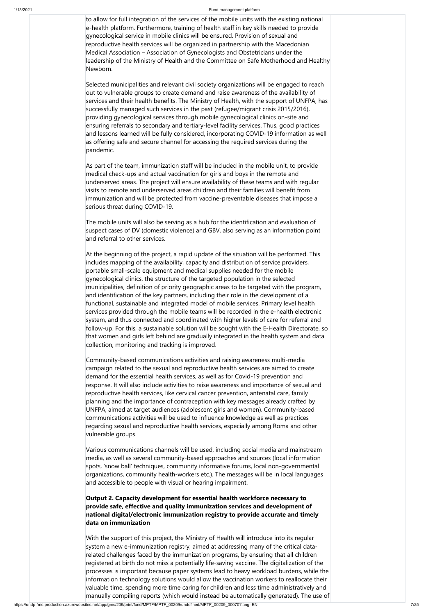to allow for full integration of the services of the mobile units with the existing national e-health platform. Furthermore, training of health staff in key skills needed to provide gynecological service in mobile clinics will be ensured. Provision of sexual and reproductive health services will be organized in partnership with the Macedonian Medical Association – Association of Gynecologists and Obstetricians under the leadership of the Ministry of Health and the Committee on Safe Motherhood and Healthy Newborn.

Selected municipalities and relevant civil society organizations will be engaged to reach out to vulnerable groups to create demand and raise awareness of the availability of services and their health benefits. The Ministry of Health, with the support of UNFPA, has successfully managed such services in the past (refugee/migrant crisis 2015/2016), providing gynecological services through mobile gynecological clinics on-site and ensuring referrals to secondary and tertiary-level facility services. Thus, good practices and lessons learned will be fully considered, incorporating COVID-19 information as well as offering safe and secure channel for accessing the required services during the pandemic.

As part of the team, immunization staff will be included in the mobile unit, to provide medical check-ups and actual vaccination for girls and boys in the remote and underserved areas. The project will ensure availability of these teams and with regular visits to remote and underserved areas children and their families will benefit from immunization and will be protected from vaccine-preventable diseases that impose a serious threat during COVID-19.

The mobile units will also be serving as a hub for the identification and evaluation of suspect cases of DV (domestic violence) and GBV, also serving as an information point and referral to other services.

At the beginning of the project, a rapid update of the situation will be performed. This includes mapping of the availability, capacity and distribution of service providers, portable small-scale equipment and medical supplies needed for the mobile gynecological clinics, the structure of the targeted population in the selected municipalities, definition of priority geographic areas to be targeted with the program, and identification of the key partners, including their role in the development of a functional, sustainable and integrated model of mobile services. Primary level health services provided through the mobile teams will be recorded in the e-health electronic system, and thus connected and coordinated with higher levels of care for referral and follow-up. For this, a sustainable solution will be sought with the E-Health Directorate, so that women and girls left behind are gradually integrated in the health system and data collection, monitoring and tracking is improved.

Community-based communications activities and raising awareness multi-media campaign related to the sexual and reproductive health services are aimed to create demand for the essential health services, as well as for Covid-19 prevention and response. It will also include activities to raise awareness and importance of sexual and reproductive health services, like cervical cancer prevention, antenatal care, family planning and the importance of contraception with key messages already crafted by UNFPA, aimed at target audiences (adolescent girls and women). Community-based communications activities will be used to influence knowledge as well as practices regarding sexual and reproductive health services, especially among Roma and other vulnerable groups.

Various communications channels will be used, including social media and mainstream media, as well as several community-based approaches and sources (local information spots, 'snow ball' techniques, community informative forums, local non-governmental organizations, community health-workers etc.). The messages will be in local languages and accessible to people with visual or hearing impairment.

**Output 2. Capacity development for essential health workforce necessary to provide safe, effective and quality immunization services and development of national digital/electronic immunization registry to provide accurate and timely data on immunization**

With the support of this project, the Ministry of Health will introduce into its regular system a new e-immunization registry, aimed at addressing many of the critical datarelated challenges faced by the immunization programs, by ensuring that all children registered at birth do not miss a potentially life-saving vaccine. The digitalization of the processes is important because paper systems lead to heavy workload burdens, while the information technology solutions would allow the vaccination workers to reallocate their valuable time, spending more time caring for children and less time administratively and manually compiling reports (which would instead be automatically generated). The use of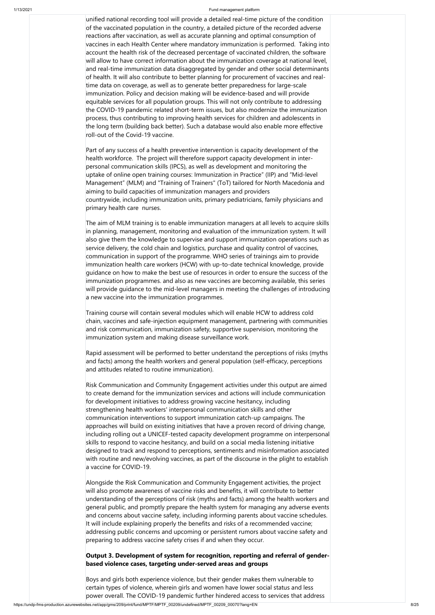unified national recording tool will provide a detailed real-time picture of the condition of the vaccinated population in the country, a detailed picture of the recorded adverse reactions after vaccination, as well as accurate planning and optimal consumption of vaccines in each Health Center where mandatory immunization is performed. Taking into account the health risk of the decreased percentage of vaccinated children, the software will allow to have correct information about the immunization coverage at national level, and real-time immunization data disaggregated by gender and other social determinants of health. It will also contribute to better planning for procurement of vaccines and realtime data on coverage, as well as to generate better preparedness for large-scale immunization. Policy and decision making will be evidence-based and will provide equitable services for all population groups. This will not only contribute to addressing the COVID-19 pandemic related short-term issues, but also modernize the immunization process, thus contributing to improving health services for children and adolescents in the long term (building back better). Such a database would also enable more effective roll-out of the Covid-19 vaccine.

Part of any success of a health preventive intervention is capacity development of the health workforce. The project will therefore support capacity development in interpersonal communication skills (IPCS), as well as development and monitoring the uptake of online open training courses: Immunization in Practice" (IIP) and "Mid-level Management" (MLM) and "Training of Trainers" (ToT) tailored for North Macedonia and aiming to build capacities of immunization managers and providers countrywide, including immunization units, primary pediatricians, family physicians and primary health care nurses.

The aim of MLM training is to enable immunization managers at all levels to acquire skills in planning, management, monitoring and evaluation of the immunization system. It will also give them the knowledge to supervise and support immunization operations such as service delivery, the cold chain and logistics, purchase and quality control of vaccines, communication in support of the programme. WHO series of trainings aim to provide immunization health care workers (HCW) with up-to-date technical knowledge, provide guidance on how to make the best use of resources in order to ensure the success of the immunization programmes. and also as new vaccines are becoming available, this series will provide guidance to the mid-level managers in meeting the challenges of introducing a new vaccine into the immunization programmes.

Training course will contain several modules which will enable HCW to address cold chain, vaccines and safe-injection equipment management, partnering with communities and risk communication, immunization safety, supportive supervision, monitoring the immunization system and making disease surveillance work.

Rapid assessment will be performed to better understand the perceptions of risks (myths and facts) among the health workers and general population (self-efficacy, perceptions and attitudes related to routine immunization).

Risk Communication and Community Engagement activities under this output are aimed to create demand for the immunization services and actions will include communication for development initiatives to address growing vaccine hesitancy, including strengthening health workers' interpersonal communication skills and other communication interventions to support immunization catch-up campaigns. The approaches will build on existing initiatives that have a proven record of driving change, including rolling out a UNICEF-tested capacity development programme on interpersonal skills to respond to vaccine hesitancy, and build on a social media listening initiative designed to track and respond to perceptions, sentiments and misinformation associated with routine and new/evolving vaccines, as part of the discourse in the plight to establish

### a vaccine for COVID-19.

Alongside the Risk Communication and Community Engagement activities, the project will also promote awareness of vaccine risks and benefits, it will contribute to better understanding of the perceptions of risk (myths and facts) among the health workers and general public, and promptly prepare the health system for managing any adverse events and concerns about vaccine safety, including informing parents about vaccine schedules. It will include explaining properly the benefits and risks of a recommended vaccine; addressing public concerns and upcoming or persistent rumors about vaccine safety and preparing to address vaccine safety crises if and when they occur.

**Output 3. Development of system for recognition, reporting and referral of genderbased violence cases, targeting under-served areas and groups**

Boys and girls both experience violence, but their gender makes them vulnerable to certain types of violence, wherein girls and women have lower social status and less power overall. The COVID-19 pandemic further hindered access to services that address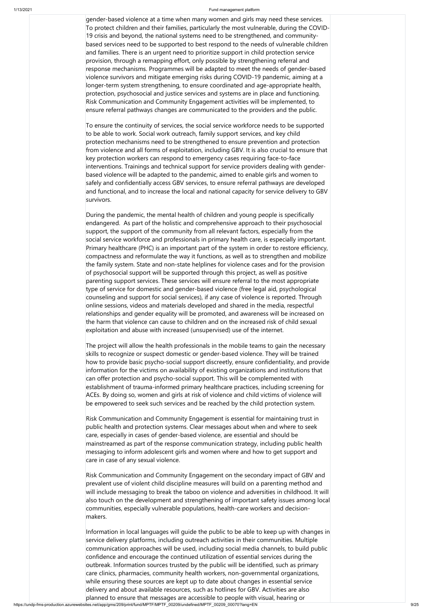https://undp-fms-production.azurewebsites.net/app/gms/209/print/fund/MPTF/MPTF\_00209/undefined/MPTF\_00209\_00070?lang=EN 9/25

gender-based violence at a time when many women and girls may need these services. To protect children and their families, particularly the most vulnerable, during the COVID-19 crisis and beyond, the national systems need to be strengthened, and communitybased services need to be supported to best respond to the needs of vulnerable children and families. There is an urgent need to prioritize support in child protection service provision, through a remapping effort, only possible by strengthening referral and response mechanisms. Programmes will be adapted to meet the needs of gender-based violence survivors and mitigate emerging risks during COVID-19 pandemic, aiming at a longer-term system strengthening, to ensure coordinated and age-appropriate health, protection, psychosocial and justice services and systems are in place and functioning. Risk Communication and Community Engagement activities will be implemented, to ensure referral pathways changes are communicated to the providers and the public.

To ensure the continuity of services, the social service workforce needs to be supported to be able to work. Social work outreach, family support services, and key child protection mechanisms need to be strengthened to ensure prevention and protection from violence and all forms of exploitation, including GBV. It is also crucial to ensure that key protection workers can respond to emergency cases requiring face-to-face interventions. Trainings and technical support for service providers dealing with genderbased violence will be adapted to the pandemic, aimed to enable girls and women to safely and confidentially access GBV services, to ensure referral pathways are developed and functional, and to increase the local and national capacity for service delivery to GBV survivors.

During the pandemic, the mental health of children and young people is specifically endangered. As part of the holistic and comprehensive approach to their psychosocial support, the support of the community from all relevant factors, especially from the social service workforce and professionals in primary health care, is especially important. Primary healthcare (PHC) is an important part of the system in order to restore efficiency, compactness and reformulate the way it functions, as well as to strengthen and mobilize the family system. State and non-state helplines for violence cases and for the provision of psychosocial support will be supported through this project, as well as positive parenting support services. These services will ensure referral to the most appropriate type of service for domestic and gender-based violence (free legal aid, psychological counseling and support for social services), if any case of violence is reported. Through online sessions, videos and materials developed and shared in the media, respectful relationships and gender equality will be promoted, and awareness will be increased on the harm that violence can cause to children and on the increased risk of child sexual exploitation and abuse with increased (unsupervised) use of the internet.

The project will allow the health professionals in the mobile teams to gain the necessary skills to recognize or suspect domestic or gender-based violence. They will be trained how to provide basic psycho-social support discreetly, ensure confidentiality, and provide information for the victims on availability of existing organizations and institutions that can offer protection and psycho-social support. This will be complemented with establishment of trauma-informed primary healthcare practices, including screening for ACEs. By doing so, women and girls at risk of violence and child victims of violence will be empowered to seek such services and be reached by the child protection system.

Risk Communication and Community Engagement is essential for maintaining trust in public health and protection systems. Clear messages about when and where to seek care, especially in cases of gender-based violence, are essential and should be mainstreamed as part of the response communication strategy, including public health messaging to inform adolescent girls and women where and how to get support and care in case of any sexual violence.

Risk Communication and Community Engagement on the secondary impact of GBV and prevalent use of violent child discipline measures will build on a parenting method and will include messaging to break the taboo on violence and adversities in childhood. It will also touch on the development and strengthening of important safety issues among local communities, especially vulnerable populations, health-care workers and decisionmakers.

Information in local languages will guide the public to be able to keep up with changes in service delivery platforms, including outreach activities in their communities. Multiple communication approaches will be used, including social media channels, to build public confidence and encourage the continued utilization of essential services during the outbreak. Information sources trusted by the public will be identified, such as primary care clinics, pharmacies, community health workers, non-governmental organizations, while ensuring these sources are kept up to date about changes in essential service delivery and about available resources, such as hotlines for GBV. Activities are also planned to ensure that messages are accessible to people with visual, hearing or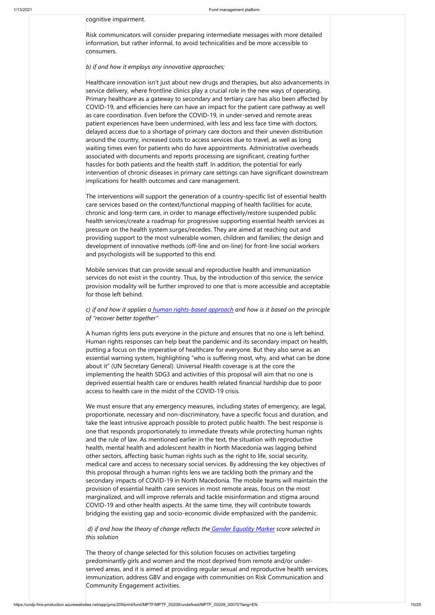cognitive impairment.

Risk communicators will consider preparing intermediate messages with more detailed information, but rather informal, to avoid technicalities and be more accessible to consumers.

### *b) if and how it employs any innovative approaches;*

Healthcare innovation isn't just about new drugs and therapies, but also advancements in service delivery, where frontline clinics play a crucial role in the new ways of operating. Primary healthcare as a gateway to secondary and tertiary care has also been affected by COVID-19, and efficiencies here can have an impact for the patient care pathway as well as care coordination. Even before the COVID-19, in under-served and remote areas patient experiences have been undermined, with less and less face time with doctors, delayed access due to a shortage of primary care doctors and their uneven distribution around the country, increased costs to access services due to travel, as well as long waiting times even for patients who do have appointments. Administrative overheads associated with documents and reports processing are significant, creating further hassles for both patients and the health staff. In addition, the potential for early intervention of chronic diseases in primary care settings can have significant downstream implications for health outcomes and care management.

The interventions will support the generation of a country-specific list of essential health care services based on the context/functional mapping of health facilities for acute, chronic and long-term care, in order to manage effectively/restore suspended public health services/create a roadmap for progressive supporting essential health services as pressure on the health system surges/recedes. They are aimed at reaching out and providing support to the most vulnerable women, children and families; the design and development of innovative methods (off-line and on-line) for front-line social workers and psychologists will be supported to this end.

Mobile services that can provide sexual and reproductive health and immunization services do not exist in the country. Thus, by the introduction of this service, the service provision modality will be further improved to one that is more accessible and acceptable for those left behind.

### *c) if and how it applies a [human rights-based approach](https://unitednations.sharepoint.com/sites/DCO-WG-UNSDG_CF/Shared%20Documents/COVID-Guide/HRBA-LNOB-Checklist-for-SE-Responses-COVID-19.pdf?web=1) and how is it based on the principle of "recover better together"*

A human rights lens puts everyone in the picture and ensures that no one is left behind. Human rights responses can help beat the pandemic and its secondary impact on health, putting a focus on the imperative of healthcare for everyone. But they also serve as an essential warning system, highlighting "who is suffering most, why, and what can be done about it" (UN Secretary General). Universal Health coverage is at the core the implementing the health SDG3 and activities of this proposal will aim that no one is deprived essential health care or endures health related financial hardship due to poor access to health care in the midst of the COVID-19 crisis.

We must ensure that any emergency measures, including states of emergency, are legal, proportionate, necessary and non-discriminatory, have a specific focus and duration, and take the least intrusive approach possible to protect public health. The best response is one that responds proportionately to immediate threats while protecting human rights and the rule of law. As mentioned earlier in the text, the situation with reproductive health, mental health and adolescent health in North Macedonia was lagging behind other sectors, affecting basic human rights such as the right to life, social security, medical care and access to necessary social services. By addressing the key objectives of this proposal through a human rights lens we are tackling both the primary and the secondary impacts of COVID-19 in North Macedonia. The mobile teams will maintain the provision of essential health care services in most remote areas, focus on the most marginalized, and will improve referrals and tackle misinformation and stigma around COVID-19 and other health aspects. At the same time, they will contribute towards bridging the existing gap and socio-economic divide emphasized with the pandemic.

*d) if and how the theory of change reflects the [Gender Equality Marker](https://unsdg.un.org/resources/unct-gender-equality-marker-guidance-note) score selected in this solution*

The theory of change selected for this solution focuses on activities targeting predominantly girls and women and the most deprived from remote and/or underserved areas, and it is aimed at providing regular sexual and reproductive health services, immunization, address GBV and engage with communities on Risk Communication and Community Engagement activities.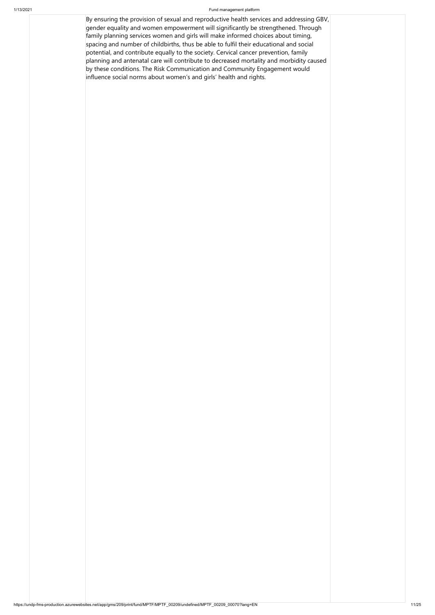By ensuring the provision of sexual and reproductive health services and addressing GBV, gender equality and women empowerment will significantly be strengthened. Through family planning services women and girls will make informed choices about timing, spacing and number of childbirths, thus be able to fulfil their educational and social potential, and contribute equally to the society. Cervical cancer prevention, family planning and antenatal care will contribute to decreased mortality and morbidity caused by these conditions. The Risk Communication and Community Engagement would influence social norms about women's and girls' health and rights.

https://undp-fms-production.azurewebsites.net/app/gms/209/print/fund/MPTF/MPTF\_00209/undefined/MPTF\_00209\_00070?lang=EN 11/25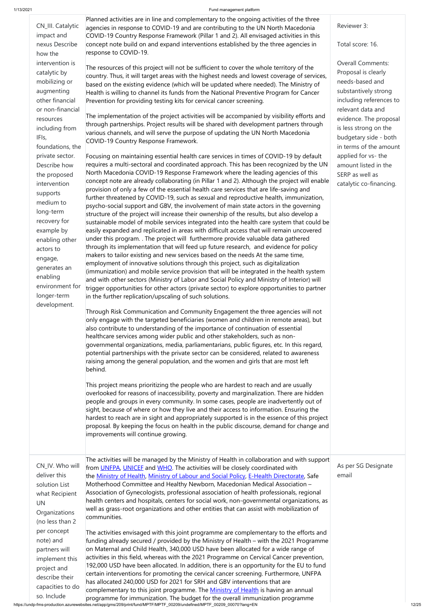https://undp-fms-production.azurewebsites.net/app/gms/209/print/fund/MPTF/MPTF\_00209/undefined/MPTF\_00209\_00070?lang=EN 12/25 so. Include programme for immunization. The budget for the overall immunization programme The activities envisaged with this joint programme are complementary to the efforts and funding already secured / provided by the Ministry of Health – with the 2021 Programme on Maternal and Child Health, 340,000 USD have been allocated for a wide range of activities in this field, whereas with the 2021 Programme on Cervical Cancer prevention, 192,000 USD have been allocated. In addition, there is an opportunity for the EU to fund certain interventions for promoting the cervical cancer screening. Furthermore, UNFPA has allocated 240,000 USD for 2021 for SRH and GBV interventions that are complementary to this joint programme. The **[Ministry of Health](http://zdravstvo.gov.mk/)** is having an annual

| CN_III. Catalytic<br>impact and<br>nexus Describe<br>how the<br>intervention is<br>catalytic by<br>mobilizing or<br>augmenting<br>other financial<br>or non-financial<br>resources<br>including from<br>IFIs,<br>foundations, the<br>private sector.<br>Describe how<br>the proposed<br>intervention<br>supports<br>medium to<br>long-term<br>recovery for<br>example by<br>enabling other<br>actors to<br>engage,<br>generates an<br>enabling<br>environment for<br>longer-term<br>development. | Planned activities are in line and complementary to the ongoing activities of the three<br>agencies in response to COVID-19 and are contributing to the UN North Macedonia<br>COVID-19 Country Response Framework (Pillar 1 and 2). All envisaged activities in this<br>concept note build on and expand interventions established by the three agencies in<br>response to COVID-19.<br>The resources of this project will not be sufficient to cover the whole territory of the<br>country. Thus, it will target areas with the highest needs and lowest coverage of services,<br>based on the existing evidence (which will be updated where needed). The Ministry of<br>Health is willing to channel its funds from the National Preventive Program for Cancer<br>Prevention for providing testing kits for cervical cancer screening.<br>The implementation of the project activities will be accompanied by visibility efforts and<br>through partnerships. Project results will be shared with development partners through<br>various channels, and will serve the purpose of updating the UN North Macedonia<br>COVID-19 Country Response Framework.<br>Focusing on maintaining essential health care services in times of COVID-19 by default<br>requires a multi-sectoral and coordinated approach. This has been recognized by the UN<br>North Macedonia COVID-19 Response Framework where the leading agencies of this<br>concept note are already collaborating (in Pillar 1 and 2). Although the project will enable<br>provision of only a few of the essential health care services that are life-saving and<br>further threatened by COVID-19, such as sexual and reproductive health, immunization,<br>psycho-social support and GBV, the involvement of main state actors in the governing<br>structure of the project will increase their ownership of the results, but also develop a<br>sustainable model of mobile services integrated into the health care system that could be<br>easily expanded and replicated in areas with difficult access that will remain uncovered<br>under this program. . The project will furthermore provide valuable data gathered<br>through its implementation that will feed up future research, and evidence for policy<br>makers to tailor existing and new services based on the needs At the same time,<br>employment of innovative solutions through this project, such as digitalization<br>(immunization) and mobile service provision that will be integrated in the health system<br>and with other sectors (Ministry of Labor and Social Policy and Ministry of Interior) will<br>trigger opportunities for other actors (private sector) to explore opportunities to partner<br>in the further replication/upscaling of such solutions.<br>Through Risk Communication and Community Engagement the three agencies will not<br>only engage with the targeted beneficiaries (women and children in remote areas), but<br>also contribute to understanding of the importance of continuation of essential<br>healthcare services among wider public and other stakeholders, such as non-<br>governmental organizations, media, parliamentarians, public figures, etc. In this regard,<br>potential partnerships with the private sector can be considered, related to awareness<br>raising among the general population, and the women and girls that are most left<br>behind.<br>This project means prioritizing the people who are hardest to reach and are usually<br>overlooked for reasons of inaccessibility, poverty and marginalization. There are hidden<br>people and groups in every community. In some cases, people are inadvertently out of<br>sight, because of where or how they live and their access to information. Ensuring the<br>hardest to reach are in sight and appropriately supported is in the essence of this project<br>proposal. By keeping the focus on health in the public discourse, demand for change and<br>improvements will continue growing. | Reviewer 3:<br>Total score: 16.<br><b>Overall Comments:</b><br>Proposal is clearly<br>needs-based and<br>substantively strong<br>including references to<br>relevant data and<br>evidence. The proposal<br>is less strong on the<br>budgetary side - both<br>in terms of the amount<br>applied for vs- the<br>amount listed in the<br>SERP as well as<br>catalytic co-financing. |
|--------------------------------------------------------------------------------------------------------------------------------------------------------------------------------------------------------------------------------------------------------------------------------------------------------------------------------------------------------------------------------------------------------------------------------------------------------------------------------------------------|-------------------------------------------------------------------------------------------------------------------------------------------------------------------------------------------------------------------------------------------------------------------------------------------------------------------------------------------------------------------------------------------------------------------------------------------------------------------------------------------------------------------------------------------------------------------------------------------------------------------------------------------------------------------------------------------------------------------------------------------------------------------------------------------------------------------------------------------------------------------------------------------------------------------------------------------------------------------------------------------------------------------------------------------------------------------------------------------------------------------------------------------------------------------------------------------------------------------------------------------------------------------------------------------------------------------------------------------------------------------------------------------------------------------------------------------------------------------------------------------------------------------------------------------------------------------------------------------------------------------------------------------------------------------------------------------------------------------------------------------------------------------------------------------------------------------------------------------------------------------------------------------------------------------------------------------------------------------------------------------------------------------------------------------------------------------------------------------------------------------------------------------------------------------------------------------------------------------------------------------------------------------------------------------------------------------------------------------------------------------------------------------------------------------------------------------------------------------------------------------------------------------------------------------------------------------------------------------------------------------------------------------------------------------------------------------------------------------------------------------------------------------------------------------------------------------------------------------------------------------------------------------------------------------------------------------------------------------------------------------------------------------------------------------------------------------------------------------------------------------------------------------------------------------------------------------------------------------------------------------------------------------------------------------------------------------------------------------------------------------------------------------------------------------------------------------------------------------------------------------------------------------------------------------------------------------------------------------------------------------------------------------------------------------------------------------------------------------------------------------------------------------------------------------------------------------------------------------------------------------------------------------------------------------------------------------------------------------------------------------------------------------------------------------------------|----------------------------------------------------------------------------------------------------------------------------------------------------------------------------------------------------------------------------------------------------------------------------------------------------------------------------------------------------------------------------------|
| CN_IV. Who will                                                                                                                                                                                                                                                                                                                                                                                                                                                                                  | The activities will be managed by the Ministry of Health in collaboration and with support<br>from UNFPA UNICFF and WHO The activities will be closely coordinated with                                                                                                                                                                                                                                                                                                                                                                                                                                                                                                                                                                                                                                                                                                                                                                                                                                                                                                                                                                                                                                                                                                                                                                                                                                                                                                                                                                                                                                                                                                                                                                                                                                                                                                                                                                                                                                                                                                                                                                                                                                                                                                                                                                                                                                                                                                                                                                                                                                                                                                                                                                                                                                                                                                                                                                                                                                                                                                                                                                                                                                                                                                                                                                                                                                                                                                                                                                                                                                                                                                                                                                                                                                                                                                                                                                                                                                                                               | As per SG Designate                                                                                                                                                                                                                                                                                                                                                              |

from [UNFPA,](https://mk.unfpa.org/en) [UNICEF](https://www.unicef.org/northmacedonia/) and [WHO.](https://www.euro.who.int/en/countries/north-macedonia) The activities will be closely coordinated with the [Ministry of Health,](http://zdravstvo.gov.mk/) [Ministry of Labour and Social Policy,](http://www.mtsp.gov.mk/) [E-Health Directorate,](http://e-health.gov.mk/en/) Safe Motherhood Committee and Healthy Newborn, Macedonian Medical Association – Association of Gynecologists, professional association of health professionals, regional health centers and hospitals, centers for social work, non-governmental organizations, as well as grass-root organizations and other entities that can assist with mobilization of communities.

deliver this

solution List what Recipient UN **Organizations** (no less than 2 per concept note) and partners will implement this project and describe their capacities to do As per SG Designate email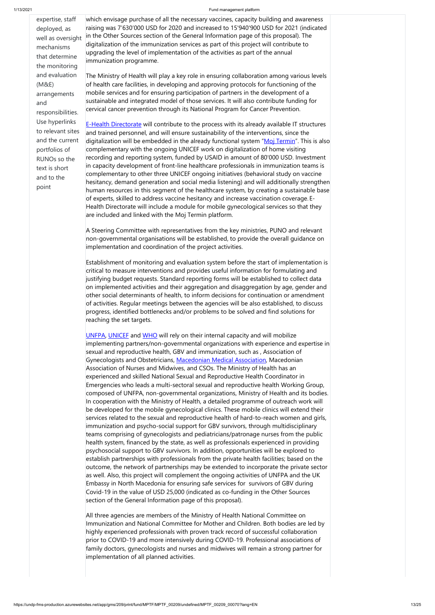expertise, staff

deployed, as well as oversight mechanisms that determine the monitoring and evaluation (M&E) arrangements and responsibilities. Use hyperlinks to relevant sites and the current portfolios of RUNOs so the text is short and to the point

which envisage purchase of all the necessary vaccines, capacity building and awareness raising was 7'630'000 USD for 2020 and increased to 15'940'900 USD for 2021 (indicated in the Other Sources section of the General Information page of this proposal). The digitalization of the immunization services as part of this project will contribute to upgrading the level of implementation of the activities as part of the annual immunization programme.

The Ministry of Health will play a key role in ensuring collaboration among various levels of health care facilities, in developing and approving protocols for functioning of the mobile services and for ensuring participation of partners in the development of a sustainable and integrated model of those services. It will also contribute funding for cervical cancer prevention through its National Program for Cancer Prevention.

<u>[E-Health Directorate](http://e-health.gov.mk/en/)</u> will contribute to the process with its already available IT structures and trained personnel, and will ensure sustainability of the interventions, since the digitalization will be embedded in the already functional system "<u>Moj Termin</u>". This is also complementary with the ongoing UNICEF work on digitalization of home visiting recording and reporting system, funded by USAID in amount of 80'000 USD. Investment in capacity development of front-line healthcare professionals in immunization teams is complementary to other three UNICEF ongoing initiatives (behavioral study on vaccine hesitancy, demand generation and social media listening) and will additionally strengthen human resources in this segment of the healthcare system, by creating a sustainable base of experts, skilled to address vaccine hesitancy and increase vaccination coverage. E-Health Directorate will include a module for mobile gynecological services so that they are included and linked with the Moj Termin platform.

[UNFPA,](https://mk.unfpa.org/en) [UNICEF](https://www.unicef.org/northmacedonia/) and [WHO](https://www.euro.who.int/en/countries/north-macedonia) will rely on their internal capacity and will mobilize implementing partners/non-governmental organizations with experience and expertise in sexual and reproductive health, GBV and immunization, such as , Association of Gynecologists and Obstetricians, [Macedonian Medical Association,](https://mld.mk/macedonian-medical-association/) Macedonian Association of Nurses and Midwives, and CSOs. The Ministry of Health has an experienced and skilled National Sexual and Reproductive Health Coordinator in Emergencies who leads a multi-sectoral sexual and reproductive health Working Group, composed of UNFPA, non-governmental organizations, Ministry of Health and its bodies. In cooperation with the Ministry of Health, a detailed programme of outreach work will be developed for the mobile gynecological clinics. These mobile clinics will extend their services related to the sexual and reproductive health of hard-to-reach women and girls, immunization and psycho-social support for GBV survivors, through multidisciplinary teams comprising of gynecologists and pediatricians/patronage nurses from the public health system, financed by the state, as well as professionals experienced in providing psychosocial support to GBV survivors. In addition, opportunities will be explored to establish partnerships with professionals from the private health facilities; based on the outcome, the network of partnerships may be extended to incorporate the private sector as well. Also, this project will complement the ongoing activities of UNFPA and the UK Embassy in North Macedonia for ensuring safe services for survivors of GBV during Covid-19 in the value of USD 25,000 (indicated as co-funding in the Other Sources section of the General Information page of this proposal).

A Steering Committee with representatives from the key ministries, PUNO and relevant non-governmental organisations will be established, to provide the overall guidance on implementation and coordination of the project activities.

Establishment of monitoring and evaluation system before the start of implementation is critical to measure interventions and provides useful information for formulating and justifying budget requests. Standard reporting forms will be established to collect data on implemented activities and their aggregation and disaggregation by age, gender and other social determinants of health, to inform decisions for continuation or amendment of activities. Regular meetings between the agencies will be also established, to discuss progress, identified bottlenecks and/or problems to be solved and find solutions for reaching the set targets.

All three agencies are members of the Ministry of Health National Committee on Immunization and National Committee for Mother and Children. Both bodies are led by highly experienced professionals with proven track record of successful collaboration prior to COVID-19 and more intensively during COVID-19. Professional associations of family doctors, gynecologists and nurses and midwives will remain a strong partner for implementation of all planned activities.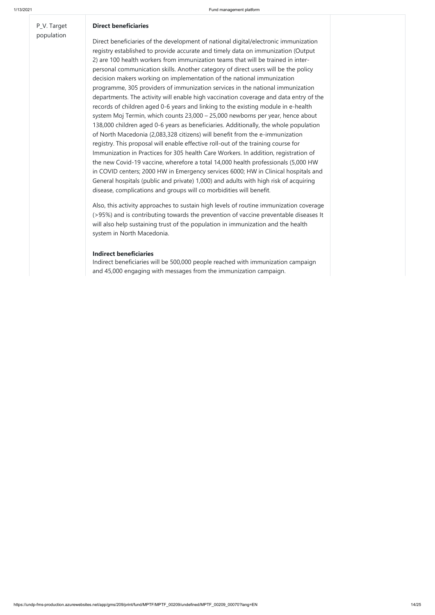https://undp-fms-production.azurewebsites.net/app/gms/209/print/fund/MPTF/MPTF\_00209/undefined/MPTF\_00209\_00070?lang=EN 14/25

P\_V. Target population

### **Direct beneficiaries**

Direct beneficiaries of the development of national digital/electronic immunization registry established to provide accurate and timely data on immunization (Output 2) are 100 health workers from immunization teams that will be trained in interpersonal communication skills. Another category of direct users will be the policy decision makers working on implementation of the national immunization programme, 305 providers of immunization services in the national immunization departments. The activity will enable high vaccination coverage and data entry of the records of children aged 0-6 years and linking to the existing module in e-health system Moj Termin, which counts 23,000 – 25,000 newborns per year, hence about 138,000 children aged 0-6 years as beneficiaries. Additionally, the whole population of North Macedonia (2,083,328 citizens) will benefit from the e-immunization registry. This proposal will enable effective roll-out of the training course for Immunization in Practices for 305 health Care Workers. In addition, registration of the new Covid-19 vaccine, wherefore a total 14,000 health professionals (5,000 HW in COVID centers; 2000 HW in Emergency services 6000; HW in Clinical hospitals and General hospitals (public and private) 1,000) and adults with high risk of acquiring disease, complications and groups will co morbidities will benefit.

Also, this activity approaches to sustain high levels of routine immunization coverage (>95%) and is contributing towards the prevention of vaccine preventable diseases It will also help sustaining trust of the population in immunization and the health system in North Macedonia.

### **Indirect beneficiaries**

Indirect beneficiaries will be 500,000 people reached with immunization campaign and 45,000 engaging with messages from the immunization campaign.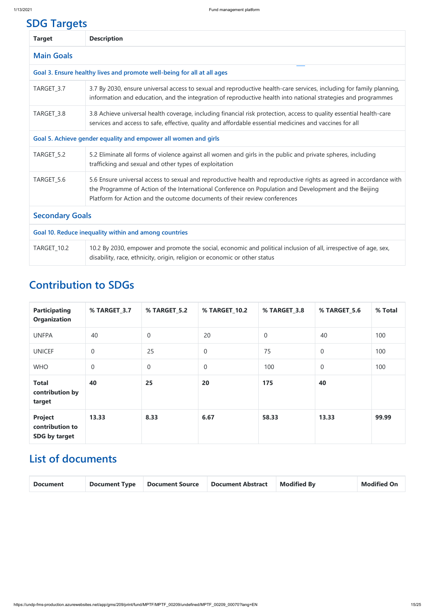# **SDG Targets**

| <b>Target</b>          | <b>Description</b>                                                                                                                                                                                                                                                                                       |  |  |  |  |
|------------------------|----------------------------------------------------------------------------------------------------------------------------------------------------------------------------------------------------------------------------------------------------------------------------------------------------------|--|--|--|--|
| <b>Main Goals</b>      |                                                                                                                                                                                                                                                                                                          |  |  |  |  |
|                        | Goal 3. Ensure healthy lives and promote well-being for all at all ages                                                                                                                                                                                                                                  |  |  |  |  |
| TARGET_3.7             | 3.7 By 2030, ensure universal access to sexual and reproductive health-care services, including for family planning,<br>information and education, and the integration of reproductive health into national strategies and programmes                                                                    |  |  |  |  |
| TARGET_3.8             | 3.8 Achieve universal health coverage, including financial risk protection, access to quality essential health-care<br>services and access to safe, effective, quality and affordable essential medicines and vaccines for all                                                                           |  |  |  |  |
|                        | Goal 5. Achieve gender equality and empower all women and girls                                                                                                                                                                                                                                          |  |  |  |  |
| TARGET_5.2             | 5.2 Eliminate all forms of violence against all women and girls in the public and private spheres, including<br>trafficking and sexual and other types of exploitation                                                                                                                                   |  |  |  |  |
| TARGET_5.6             | 5.6 Ensure universal access to sexual and reproductive health and reproductive rights as agreed in accordance with<br>the Programme of Action of the International Conference on Population and Development and the Beijing<br>Platform for Action and the outcome documents of their review conferences |  |  |  |  |
| <b>Secondary Goals</b> |                                                                                                                                                                                                                                                                                                          |  |  |  |  |
|                        | Goal 10. Reduce inequality within and among countries                                                                                                                                                                                                                                                    |  |  |  |  |
| TARGET_10.2            | 10.2 By 2030, empower and promote the social, economic and political inclusion of all, irrespective of age, sex,<br>disability, race, ethnicity, origin, religion or economic or other status                                                                                                            |  |  |  |  |

# **Contribution to SDGs**

| <b>Participating</b><br><b>Organization</b>               | % TARGET_3.7     | <b>% TARGET_5.2</b> | % TARGET_10.2  | <b>% TARGET_3.8</b> | <b>% TARGET_5.6</b> | % Total |
|-----------------------------------------------------------|------------------|---------------------|----------------|---------------------|---------------------|---------|
| <b>UNFPA</b>                                              | 40               | $\overline{0}$      | 20             | $\overline{0}$      | 40                  | 100     |
| <b>UNICEF</b>                                             | $\boldsymbol{0}$ | 25                  | $\overline{0}$ | 75                  | $\boldsymbol{0}$    | 100     |
| <b>WHO</b>                                                | $\mathbf 0$      | $\overline{0}$      | $\mathbf{0}$   | 100                 | $\boldsymbol{0}$    | 100     |
| <b>Total</b><br>contribution by<br>target                 | 40               | 25                  | 20             | 175                 | 40                  |         |
| <b>Project</b><br>contribution to<br><b>SDG by target</b> | 13.33            | 8.33                | 6.67           | 58.33               | 13.33               | 99.99   |

### **List of documents**

| <b>Document</b> | <b>Document Type</b> | <b>Document Source</b> | <b>Document Abstract</b> | <b>Modified By</b> | <b>Modified On</b> |
|-----------------|----------------------|------------------------|--------------------------|--------------------|--------------------|
|                 |                      |                        |                          |                    |                    |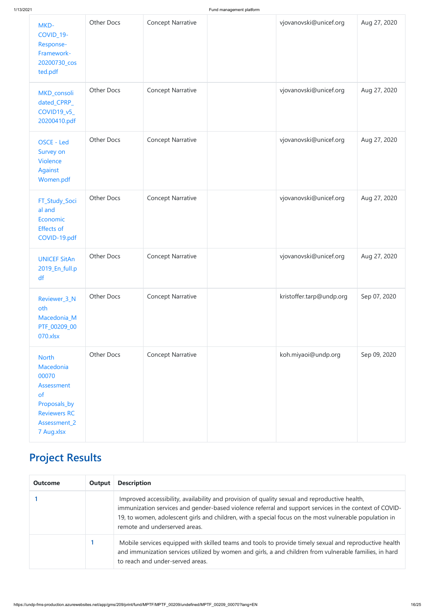| MKD-<br>COVID_19-<br>Response-<br>Framework-<br>20200730_cos<br>ted.pdf                                                            | <b>Other Docs</b> | <b>Concept Narrative</b> | vjovanovski@unicef.org   | Aug 27, 2020 |
|------------------------------------------------------------------------------------------------------------------------------------|-------------------|--------------------------|--------------------------|--------------|
| MKD_consoli<br>dated_CPRP_<br>COVID19_v5_<br>20200410.pdf                                                                          | <b>Other Docs</b> | <b>Concept Narrative</b> | vjovanovski@unicef.org   | Aug 27, 2020 |
| OSCE - Led<br>Survey on<br>Violence<br>Against<br>Women.pdf                                                                        | <b>Other Docs</b> | <b>Concept Narrative</b> | vjovanovski@unicef.org   | Aug 27, 2020 |
| FT_Study_Soci<br>al and<br>Economic<br><b>Effects of</b><br>COVID-19.pdf                                                           | <b>Other Docs</b> | <b>Concept Narrative</b> | vjovanovski@unicef.org   | Aug 27, 2020 |
| <b>UNICEF SitAn</b><br>2019_En_full.p<br>df                                                                                        | Other Docs        | <b>Concept Narrative</b> | vjovanovski@unicef.org   | Aug 27, 2020 |
| Reviewer_3_N<br>oth<br>Macedonia_M<br>PTF_00209_00<br>070.xlsx                                                                     | Other Docs        | <b>Concept Narrative</b> | kristoffer.tarp@undp.org | Sep 07, 2020 |
| <b>North</b><br>Macedonia<br>00070<br>Assessment<br><b>of</b><br>Proposals_by<br><b>Reviewers RC</b><br>Assessment_2<br>7 Aug.xlsx | <b>Other Docs</b> | <b>Concept Narrative</b> | koh.miyaoi@undp.org      | Sep 09, 2020 |

# **Project Results**

| <b>Outcome</b> | Output | <b>Description</b>                                                                                                                                                                                                                                                                                                                                 |
|----------------|--------|----------------------------------------------------------------------------------------------------------------------------------------------------------------------------------------------------------------------------------------------------------------------------------------------------------------------------------------------------|
|                |        | Improved accessibility, availability and provision of quality sexual and reproductive health,<br>immunization services and gender-based violence referral and support services in the context of COVID-<br>19, to women, adolescent girls and children, with a special focus on the most vulnerable population in<br>remote and underserved areas. |
|                |        | Mobile services equipped with skilled teams and tools to provide timely sexual and reproductive health<br>and immunization services utilized by women and girls, a and children from vulnerable families, in hard<br>to reach and under-served areas.                                                                                              |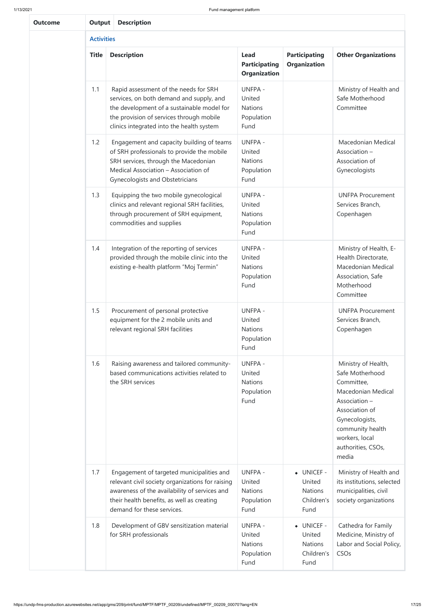| <b>Outcome</b> |                   | <b>Description</b><br><b>Output</b>                                                                                                                                                                                      |                                                                  |                                             |                                                                                                                                                                                                             |  |  |  |  |
|----------------|-------------------|--------------------------------------------------------------------------------------------------------------------------------------------------------------------------------------------------------------------------|------------------------------------------------------------------|---------------------------------------------|-------------------------------------------------------------------------------------------------------------------------------------------------------------------------------------------------------------|--|--|--|--|
|                | <b>Activities</b> |                                                                                                                                                                                                                          |                                                                  |                                             |                                                                                                                                                                                                             |  |  |  |  |
|                | <b>Title</b>      | <b>Description</b>                                                                                                                                                                                                       | <b>Lead</b><br><b>Participating</b><br><b>Organization</b>       | <b>Participating</b><br><b>Organization</b> | <b>Other Organizations</b>                                                                                                                                                                                  |  |  |  |  |
|                | 1.1               | Rapid assessment of the needs for SRH<br>services, on both demand and supply, and<br>the development of a sustainable model for<br>the provision of services through mobile<br>clinics integrated into the health system | <b>UNFPA -</b><br>United<br><b>Nations</b><br>Population<br>Fund |                                             | Ministry of Health and<br>Safe Motherhood<br>Committee                                                                                                                                                      |  |  |  |  |
|                | 1.2               | Engagement and capacity building of teams<br>of SRH professionals to provide the mobile<br>SRH services, through the Macedonian<br>Medical Association - Association of<br><b>Gynecologists and Obstetricians</b>        | <b>UNFPA -</b><br>United<br><b>Nations</b><br>Population<br>Fund |                                             | Macedonian Medical<br>Association -<br>Association of<br>Gynecologists                                                                                                                                      |  |  |  |  |
|                | 1.3               | Equipping the two mobile gynecological<br>clinics and relevant regional SRH facilities,<br>through procurement of SRH equipment,<br>commodities and supplies                                                             | <b>UNFPA -</b><br>United<br><b>Nations</b><br>Population<br>Fund |                                             | <b>UNFPA Procurement</b><br>Services Branch,<br>Copenhagen                                                                                                                                                  |  |  |  |  |
|                | 1.4               | Integration of the reporting of services<br>provided through the mobile clinic into the<br>existing e-health platform "Moj Termin"                                                                                       | <b>UNFPA -</b><br>United<br><b>Nations</b><br>Population<br>Fund |                                             | Ministry of Health, E-<br>Health Directorate,<br>Macedonian Medical<br>Association, Safe<br>Motherhood<br>Committee                                                                                         |  |  |  |  |
|                | 1.5               | Procurement of personal protective<br>equipment for the 2 mobile units and<br>relevant regional SRH facilities                                                                                                           | <b>UNFPA -</b><br>United<br><b>Nations</b><br>Population<br>Fund |                                             | <b>UNFPA Procurement</b><br>Services Branch,<br>Copenhagen                                                                                                                                                  |  |  |  |  |
|                | 1.6               | Raising awareness and tailored community-<br>based communications activities related to<br>the SRH services                                                                                                              | <b>UNFPA -</b><br>United<br><b>Nations</b><br>Population<br>Fund |                                             | Ministry of Health,<br>Safe Motherhood<br>Committee,<br><b>Macedonian Medical</b><br>Association -<br>Association of<br>Gynecologists,<br>community health<br>workers, local<br>authorities, CSOs,<br>media |  |  |  |  |
|                |                   |                                                                                                                                                                                                                          |                                                                  |                                             |                                                                                                                                                                                                             |  |  |  |  |

|     |                                                                                                                                                                                                                            |                                                                  |                                                                      | ,,,,,,,,,                                                                                              |
|-----|----------------------------------------------------------------------------------------------------------------------------------------------------------------------------------------------------------------------------|------------------------------------------------------------------|----------------------------------------------------------------------|--------------------------------------------------------------------------------------------------------|
| 1.7 | Engagement of targeted municipalities and<br>relevant civil society organizations for raising<br>awareness of the availability of services and<br>their health benefits, as well as creating<br>demand for these services. | <b>UNFPA -</b><br>United<br><b>Nations</b><br>Population<br>Fund | • UNICEF -<br>United<br><b>Nations</b><br>Children's<br>Fund         | Ministry of Health and<br>its institutions, selected<br>municipalities, civil<br>society organizations |
| 1.8 | Development of GBV sensitization material<br>for SRH professionals                                                                                                                                                         | <b>UNFPA -</b><br>United<br><b>Nations</b><br>Population<br>Fund | $\bullet$ UNICEF -<br>United<br><b>Nations</b><br>Children's<br>Fund | Cathedra for Family<br>Medicine, Ministry of<br>Labor and Social Policy,<br>CSO <sub>s</sub>           |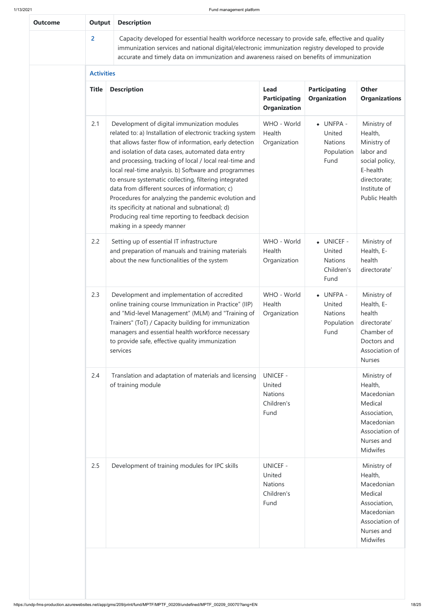| <b>Outcome</b> | <b>Output</b>     | <b>Description</b>                                                                                                                                                                                                                                                                                                                                                                                                                                                                                                                                                                                                                                  |                                                                   |                                                                     |                                                                                                                                          |
|----------------|-------------------|-----------------------------------------------------------------------------------------------------------------------------------------------------------------------------------------------------------------------------------------------------------------------------------------------------------------------------------------------------------------------------------------------------------------------------------------------------------------------------------------------------------------------------------------------------------------------------------------------------------------------------------------------------|-------------------------------------------------------------------|---------------------------------------------------------------------|------------------------------------------------------------------------------------------------------------------------------------------|
|                | $\overline{2}$    | Capacity developed for essential health workforce necessary to provide safe, effective and quality<br>immunization services and national digital/electronic immunization registry developed to provide<br>accurate and timely data on immunization and awareness raised on benefits of immunization                                                                                                                                                                                                                                                                                                                                                 |                                                                   |                                                                     |                                                                                                                                          |
|                | <b>Activities</b> |                                                                                                                                                                                                                                                                                                                                                                                                                                                                                                                                                                                                                                                     |                                                                   |                                                                     |                                                                                                                                          |
|                | <b>Title</b>      | <b>Description</b>                                                                                                                                                                                                                                                                                                                                                                                                                                                                                                                                                                                                                                  | <b>Lead</b><br><b>Participating</b><br><b>Organization</b>        | <b>Participating</b><br><b>Organization</b>                         | <b>Other</b><br><b>Organizations</b>                                                                                                     |
|                | 2.1               | Development of digital immunization modules<br>related to: a) Installation of electronic tracking system<br>that allows faster flow of information, early detection<br>and isolation of data cases, automated data entry<br>and processing, tracking of local / local real-time and<br>local real-time analysis. b) Software and programmes<br>to ensure systematic collecting, filtering integrated<br>data from different sources of information; c)<br>Procedures for analyzing the pandemic evolution and<br>its specificity at national and subnational; d)<br>Producing real time reporting to feedback decision<br>making in a speedy manner | WHO - World<br>Health<br>Organization                             | $\bullet$ UNFPA -<br>United<br><b>Nations</b><br>Population<br>Fund | Ministry of<br>Health,<br>Ministry of<br>labor and<br>social policy,<br>E-health<br>directorate;<br>Institute of<br><b>Public Health</b> |
|                | 2.2               | Setting up of essential IT infrastructure<br>and preparation of manuals and training materials<br>about the new functionalities of the system                                                                                                                                                                                                                                                                                                                                                                                                                                                                                                       | WHO - World<br>Health<br>Organization                             | • UNICEF -<br>United<br><b>Nations</b><br>Children's<br>Fund        | Ministry of<br>Health, E-<br>health<br>directorate'                                                                                      |
|                | 2.3               | Development and implementation of accredited<br>online training course Immunization in Practice" (IIP)<br>and "Mid-level Management" (MLM) and "Training of<br>Trainers" (ToT) / Capacity building for immunization<br>managers and essential health workforce necessary<br>to provide safe, effective quality immunization<br>services                                                                                                                                                                                                                                                                                                             | WHO - World<br>Health<br>Organization                             | $\bullet$ UNFPA -<br>United<br><b>Nations</b><br>Population<br>Fund | Ministry of<br>Health, E-<br>health<br>directorate'<br>Chamber of<br>Doctors and<br>Association of<br><b>Nurses</b>                      |
|                | 2.4               | Translation and adaptation of materials and licensing<br>of training module                                                                                                                                                                                                                                                                                                                                                                                                                                                                                                                                                                         | <b>UNICEF -</b><br>United<br><b>Nations</b><br>Children's<br>Fund |                                                                     | Ministry of<br>Health,<br>Macedonian<br>Medical<br>Association,<br>Macedonian<br>Association of<br>Nurses and<br><b>Midwifes</b>         |
|                | 2.5               | Development of training modules for IPC skills                                                                                                                                                                                                                                                                                                                                                                                                                                                                                                                                                                                                      | <b>UNICEF -</b><br>United<br><b>Nations</b><br>Children's<br>Fund |                                                                     | Ministry of<br>Health,<br>Macedonian<br>Medical<br>Association,<br>Macedonian<br>Association of<br>Nurses and<br><b>Midwifes</b>         |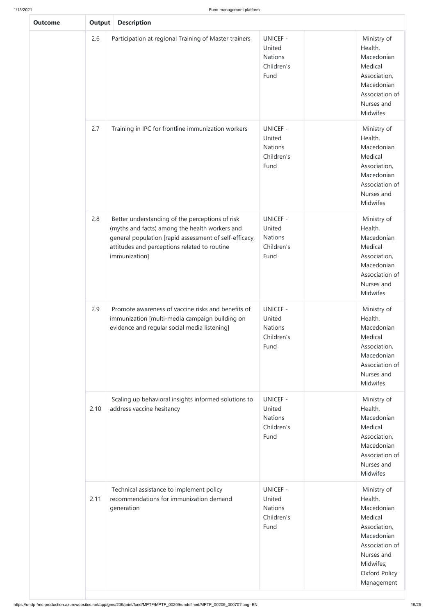| <b>Outcome</b> | <b>Output</b> | <b>Description</b>                                                                                                                                                                                                           |                                                                   |                                                                                                                                                                  |
|----------------|---------------|------------------------------------------------------------------------------------------------------------------------------------------------------------------------------------------------------------------------------|-------------------------------------------------------------------|------------------------------------------------------------------------------------------------------------------------------------------------------------------|
|                | 2.6           | Participation at regional Training of Master trainers                                                                                                                                                                        | <b>UNICEF -</b><br>United<br><b>Nations</b><br>Children's<br>Fund | Ministry of<br>Health,<br>Macedonian<br>Medical<br>Association,<br>Macedonian<br>Association of<br>Nurses and<br>Midwifes                                        |
|                | 2.7           | Training in IPC for frontline immunization workers                                                                                                                                                                           | <b>UNICEF -</b><br>United<br><b>Nations</b><br>Children's<br>Fund | Ministry of<br>Health,<br>Macedonian<br>Medical<br>Association,<br>Macedonian<br>Association of<br>Nurses and<br>Midwifes                                        |
|                | 2.8           | Better understanding of the perceptions of risk<br>(myths and facts) among the health workers and<br>general population [rapid assessment of self-efficacy,<br>attitudes and perceptions related to routine<br>immunization] | <b>UNICEF -</b><br>United<br><b>Nations</b><br>Children's<br>Fund | Ministry of<br>Health,<br>Macedonian<br>Medical<br>Association,<br>Macedonian<br>Association of<br>Nurses and<br>Midwifes                                        |
|                | 2.9           | Promote awareness of vaccine risks and benefits of<br>immunization [multi-media campaign building on<br>evidence and regular social media listening]                                                                         | <b>UNICEF -</b><br>United<br><b>Nations</b><br>Children's<br>Fund | Ministry of<br>Health,<br>Macedonian<br>Medical<br>Association,<br>Macedonian<br>Association of<br>Nurses and<br>Midwifes                                        |
|                | 2.10          | Scaling up behavioral insights informed solutions to<br>address vaccine hesitancy                                                                                                                                            | <b>UNICEF -</b><br>United<br><b>Nations</b><br>Children's<br>Fund | Ministry of<br>Health,<br>Macedonian<br>Medical<br>Association,<br>Macedonian<br>Association of<br>Nurses and<br><b>Midwifes</b>                                 |
|                | 2.11          | Technical assistance to implement policy<br>recommendations for immunization demand<br>generation                                                                                                                            | <b>UNICEF -</b><br>United<br><b>Nations</b><br>Children's<br>Fund | Ministry of<br>Health,<br>Macedonian<br>Medical<br>Association,<br>Macedonian<br>Association of<br>Nurses and<br>Midwifes;<br><b>Oxford Policy</b><br>Management |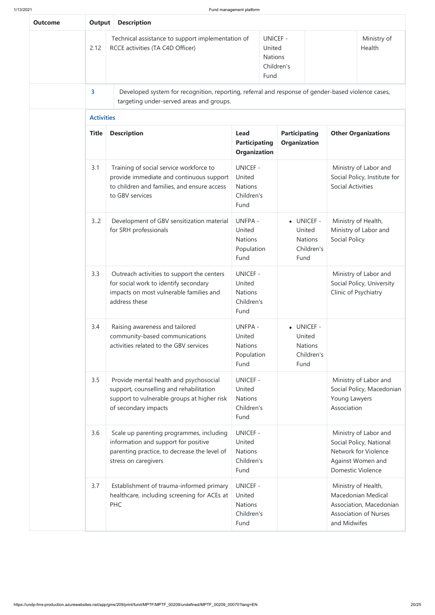| <b>Outcome</b> | Output                                                                                                                                                 | <b>Description</b>                                                                                                                                       |                                                                                                           |                                                                   |                                                              |                              |                                                                                                                                                           |                                                                                                      |
|----------------|--------------------------------------------------------------------------------------------------------------------------------------------------------|----------------------------------------------------------------------------------------------------------------------------------------------------------|-----------------------------------------------------------------------------------------------------------|-------------------------------------------------------------------|--------------------------------------------------------------|------------------------------|-----------------------------------------------------------------------------------------------------------------------------------------------------------|------------------------------------------------------------------------------------------------------|
|                | 2.12                                                                                                                                                   | Technical assistance to support implementation of<br>RCCE activities (TA C4D Officer)                                                                    |                                                                                                           | <b>UNICEF -</b><br>United<br><b>Nations</b><br>Children's<br>Fund |                                                              |                              |                                                                                                                                                           | Ministry of<br>Health                                                                                |
|                | $\overline{\mathbf{3}}$                                                                                                                                | Developed system for recognition, reporting, referral and response of gender-based violence cases,<br>targeting under-served areas and groups.           |                                                                                                           |                                                                   |                                                              |                              |                                                                                                                                                           |                                                                                                      |
|                | <b>Activities</b>                                                                                                                                      |                                                                                                                                                          |                                                                                                           |                                                                   |                                                              |                              |                                                                                                                                                           |                                                                                                      |
|                | <b>Title</b>                                                                                                                                           | <b>Description</b>                                                                                                                                       | <b>Participating</b><br><b>Lead</b><br><b>Organization</b><br><b>Participating</b><br><b>Organization</b> |                                                                   | <b>Other Organizations</b>                                   |                              |                                                                                                                                                           |                                                                                                      |
|                | 3.1                                                                                                                                                    | Training of social service workforce to<br>provide immediate and continuous support<br>to children and families, and ensure access<br>to GBV services    | <b>UNICEF -</b><br>United<br><b>Nations</b><br>Children's<br>Fund                                         |                                                                   | • UNICEF -<br>United<br><b>Nations</b><br>Children's<br>Fund |                              | Ministry of Labor and<br>Social Policy, Institute for<br><b>Social Activities</b><br>Ministry of Health,<br>Ministry of Labor and<br><b>Social Policy</b> |                                                                                                      |
|                | 3.2                                                                                                                                                    | Development of GBV sensitization material<br>for SRH professionals                                                                                       | <b>UNFPA -</b><br>United<br><b>Nations</b><br>Population<br>Fund                                          |                                                                   |                                                              |                              |                                                                                                                                                           |                                                                                                      |
|                | 3.3<br>Outreach activities to support the centers<br>for social work to identify secondary<br>impacts on most vulnerable families and<br>address these |                                                                                                                                                          | <b>UNICEF -</b><br>United<br><b>Nations</b><br>Children's<br>Fund                                         |                                                                   |                                                              |                              | Clinic of Psychiatry                                                                                                                                      | Ministry of Labor and<br>Social Policy, University                                                   |
|                | 3.4<br>Raising awareness and tailored<br>community-based communications<br>activities related to the GBV services                                      |                                                                                                                                                          | <b>UNFPA -</b><br>United<br><b>Nations</b><br>Population<br>Fund                                          |                                                                   | • UNICEF -<br>United<br>Fund                                 | <b>Nations</b><br>Children's |                                                                                                                                                           |                                                                                                      |
|                | 3.5                                                                                                                                                    | Provide mental health and psychosocial<br>support, counselling and rehabilitation<br>support to vulnerable groups at higher risk<br>of secondary impacts | <b>UNICEF -</b><br>United<br><b>Nations</b><br>Children's<br>Fund                                         |                                                                   |                                                              |                              | Young Lawyers<br>Association                                                                                                                              | Ministry of Labor and<br>Social Policy, Macedonian                                                   |
|                | 3.6                                                                                                                                                    | Scale up parenting programmes, including<br>information and support for positive<br>parenting practice, to decrease the level of<br>stress on caregivers | <b>UNICEF -</b><br>United<br><b>Nations</b><br>Children's<br>Fund                                         |                                                                   |                                                              |                              | <b>Domestic Violence</b>                                                                                                                                  | Ministry of Labor and<br>Social Policy, National<br>Network for Violence<br>Against Women and        |
|                | 3.7<br>Establishment of trauma-informed primary<br>healthcare, including screening for ACEs at<br><b>PHC</b>                                           |                                                                                                                                                          | <b>UNICEF -</b><br>United<br><b>Nations</b><br>Children's<br>Fund                                         |                                                                   |                                                              |                              | and Midwifes                                                                                                                                              | Ministry of Health,<br>Macedonian Medical<br>Association, Macedonian<br><b>Association of Nurses</b> |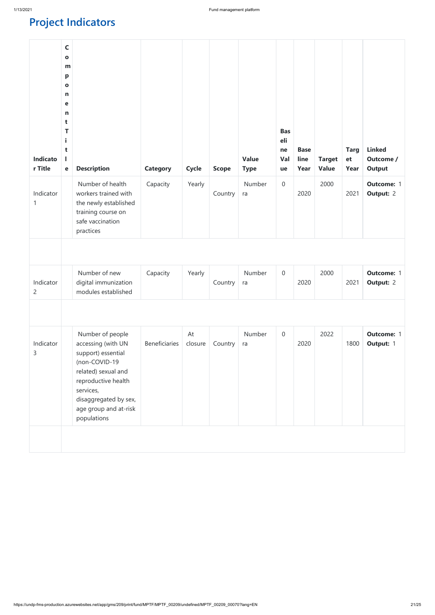https://undp-fms-production.azurewebsites.net/app/gms/209/print/fund/MPTF/MPTF\_00209/undefined/MPTF\_00209\_00070?lang=EN 21/25

# **Project Indicators**

| $\mathsf{C}$<br>$\bullet$<br>m<br>p<br>$\mathbf o$<br>n<br>е<br>n<br>t<br>T<br>t<br>e | <b>Description</b><br>Number of health<br>workers trained with<br>the newly established<br>training course on<br>safe vaccination<br>practices                                        | <b>Category</b><br>Capacity | <b>Cycle</b><br>Yearly | <b>Scope</b><br>Country | <b>Value</b><br><b>Type</b><br>Number<br>ra | <b>Bas</b><br>eli<br>ne<br>Val<br>ue<br>$\boldsymbol{0}$ | <b>Base</b><br>line<br>Year<br>2020 | <b>Target</b><br><b>Value</b><br>2000 | <b>Targ</b><br>et<br>Year<br>2021 | <b>Linked</b><br>Outcome /<br><b>Output</b><br><b>Outcome: 1</b><br><b>Output: 2</b> |
|---------------------------------------------------------------------------------------|---------------------------------------------------------------------------------------------------------------------------------------------------------------------------------------|-----------------------------|------------------------|-------------------------|---------------------------------------------|----------------------------------------------------------|-------------------------------------|---------------------------------------|-----------------------------------|--------------------------------------------------------------------------------------|
|                                                                                       | Number of new<br>digital immunization<br>modules established                                                                                                                          | Capacity                    | Yearly                 | Country                 | Number<br>ra                                | $\boldsymbol{0}$                                         | 2020                                | 2000                                  | 2021                              | <b>Outcome: 1</b><br><b>Output: 2</b>                                                |
|                                                                                       |                                                                                                                                                                                       |                             |                        |                         |                                             |                                                          |                                     |                                       |                                   |                                                                                      |
|                                                                                       | accessing (with UN<br>support) essential<br>(non-COVID-19<br>related) sexual and<br>reproductive health<br>services,<br>disaggregated by sex,<br>age group and at-risk<br>populations | <b>Beneficiaries</b>        | closure                | Country                 | ra                                          |                                                          | 2020                                |                                       | 1800                              | <b>Outcome: 1</b><br><b>Output: 1</b>                                                |
|                                                                                       |                                                                                                                                                                                       | Number of people            |                        | At                      |                                             | Number                                                   | $\theta$                            |                                       | 2022                              |                                                                                      |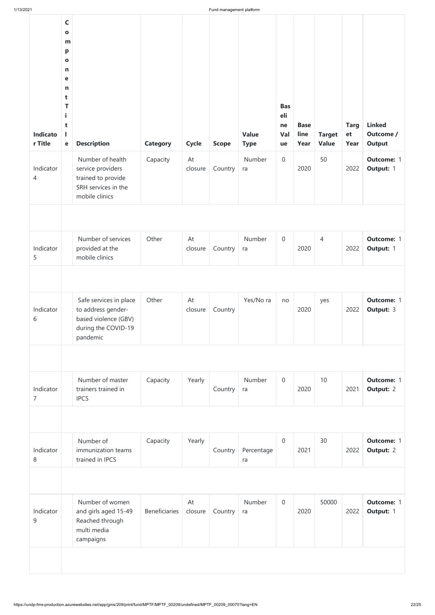| <b>Indicato</b><br>r Title  | $\mathsf{C}$<br>$\mathbf{o}$<br>m<br>$\mathbf{p}$<br>$\mathbf{o}$<br>$\mathsf{n}$<br>$\mathbf e$<br>$\mathsf{n}$<br>t<br>T<br>i.<br>t<br>L<br>$\mathbf e$ | <b>Description</b>                                                                                      | <b>Category</b> | <b>Cycle</b>  | <b>Scope</b> | <b>Value</b><br><b>Type</b> | <b>Bas</b><br>eli<br>ne<br>Val<br>ue | <b>Base</b><br>line<br>Year | <b>Target</b><br><b>Value</b> | <b>Targ</b><br>et<br>Year | <b>Linked</b><br>Outcome /<br><b>Output</b> |
|-----------------------------|-----------------------------------------------------------------------------------------------------------------------------------------------------------|---------------------------------------------------------------------------------------------------------|-----------------|---------------|--------------|-----------------------------|--------------------------------------|-----------------------------|-------------------------------|---------------------------|---------------------------------------------|
| Indicator<br>4              |                                                                                                                                                           | Number of health<br>service providers<br>trained to provide<br>SRH services in the<br>mobile clinics    | Capacity        | At<br>closure | Country      | Number<br>ra                | $\boldsymbol{0}$                     | 2020                        | 50                            | 2022                      | <b>Outcome: 1</b><br>Output: 1              |
|                             |                                                                                                                                                           |                                                                                                         |                 |               |              |                             |                                      |                             |                               |                           |                                             |
| Indicator<br>5              |                                                                                                                                                           | Number of services<br>provided at the<br>mobile clinics                                                 | Other           | At<br>closure | Country      | Number<br>ra                | $\overline{0}$                       | 2020                        | 4                             | 2022                      | <b>Outcome: 1</b><br>Output: 1              |
|                             |                                                                                                                                                           |                                                                                                         |                 |               |              |                             |                                      |                             |                               |                           |                                             |
| Indicator<br>6              |                                                                                                                                                           | Safe services in place<br>to address gender-<br>based violence (GBV)<br>during the COVID-19<br>pandemic | Other           | At<br>closure | Country      | Yes/No ra                   | no                                   | 2020                        | yes                           | 2022                      | <b>Outcome: 1</b><br><b>Output: 3</b>       |
|                             |                                                                                                                                                           |                                                                                                         |                 |               |              |                             |                                      |                             |                               |                           |                                             |
|                             |                                                                                                                                                           |                                                                                                         |                 |               |              |                             |                                      |                             |                               |                           |                                             |
| Indicator<br>$\overline{7}$ |                                                                                                                                                           | Number of master<br>trainers trained in<br><b>IPCS</b>                                                  | Capacity        | Yearly        | Country      | Number<br>ra                | $\mathbf 0$                          | 2020                        | 10                            | 2021                      | <b>Outcome: 1</b><br><b>Output: 2</b>       |
|                             |                                                                                                                                                           |                                                                                                         |                 |               |              |                             |                                      |                             |                               |                           |                                             |
| Indicator<br>8              |                                                                                                                                                           | Number of<br>immunization teams<br>trained in IPCS                                                      | Capacity        | Yearly        | Country      | Percentage<br>ra            | $\mathbf 0$                          | 2021                        | 30                            | 2022                      | <b>Outcome: 1</b><br><b>Output: 2</b>       |
|                             |                                                                                                                                                           |                                                                                                         |                 |               |              |                             |                                      |                             |                               |                           |                                             |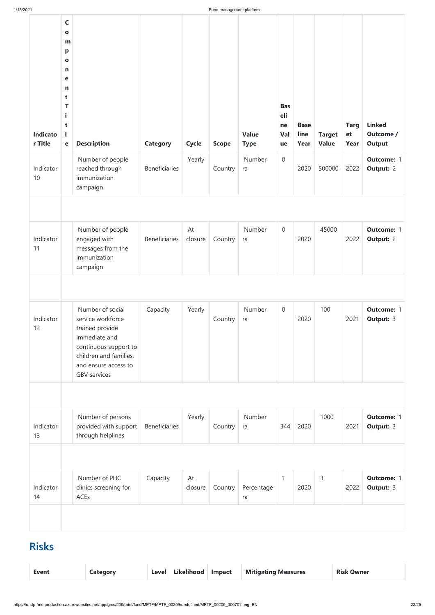| 1/13/2021           |                                                                                                                                     |                                                                                                                                                                             |                      |               | Fund management platform |                             |                                      |                             |                               |                           |                                             |
|---------------------|-------------------------------------------------------------------------------------------------------------------------------------|-----------------------------------------------------------------------------------------------------------------------------------------------------------------------------|----------------------|---------------|--------------------------|-----------------------------|--------------------------------------|-----------------------------|-------------------------------|---------------------------|---------------------------------------------|
| Indicato<br>r Title | $\mathsf{C}$<br>$\mathbf{o}$<br>m<br>p<br>$\mathbf{o}$<br>n<br>$\mathbf e$<br>$\mathsf{n}$<br>t<br>T<br>Î.<br>t<br>L<br>$\mathbf e$ | <b>Description</b>                                                                                                                                                          | <b>Category</b>      | <b>Cycle</b>  | <b>Scope</b>             | <b>Value</b><br><b>Type</b> | <b>Bas</b><br>eli<br>ne<br>Val<br>ue | <b>Base</b><br>line<br>Year | <b>Target</b><br><b>Value</b> | <b>Targ</b><br>et<br>Year | <b>Linked</b><br>Outcome /<br><b>Output</b> |
| Indicator<br>10     |                                                                                                                                     | Number of people<br>reached through<br>immunization<br>campaign                                                                                                             | <b>Beneficiaries</b> | Yearly        | Country                  | Number<br>ra                | $\theta$                             | 2020                        | 500000                        | 2022                      | <b>Outcome: 1</b><br><b>Output: 2</b>       |
|                     |                                                                                                                                     |                                                                                                                                                                             |                      |               |                          |                             |                                      |                             |                               |                           |                                             |
| Indicator<br>11     |                                                                                                                                     | Number of people<br>engaged with<br>messages from the<br>immunization<br>campaign                                                                                           | <b>Beneficiaries</b> | At<br>closure | Country $ $ ra           | Number                      | $\boldsymbol{0}$                     | 2020                        | 45000                         | 2022                      | <b>Outcome: 1</b><br><b>Output: 2</b>       |
|                     |                                                                                                                                     |                                                                                                                                                                             |                      |               |                          |                             |                                      |                             |                               |                           |                                             |
| Indicator<br>12     |                                                                                                                                     | Number of social<br>service workforce<br>trained provide<br>immediate and<br>continuous support to<br>children and families,<br>and ensure access to<br><b>GBV</b> services | Capacity             | Yearly        | Country                  | Number<br>ra                | $\boldsymbol{0}$                     | 2020                        | 100                           | 2021                      | <b>Outcome: 1</b><br><b>Output: 3</b>       |
|                     |                                                                                                                                     |                                                                                                                                                                             |                      |               |                          |                             |                                      |                             |                               |                           |                                             |
| Indicator<br>13     |                                                                                                                                     | Number of persons<br>provided with support<br>through helplines                                                                                                             | <b>Beneficiaries</b> | Yearly        | Country                  | Number<br>ra                | 344                                  | 2020                        | 1000                          | 2021                      | <b>Outcome: 1</b><br><b>Output: 3</b>       |

| Indicator<br>14 | Number of PHC<br>clinics screening for<br>ACEs | Capacity | At<br>closure | Country | Percentage<br>ra | 2020 | 2022 | <b>Outcome: 1</b><br><b>Output: 3</b> |
|-----------------|------------------------------------------------|----------|---------------|---------|------------------|------|------|---------------------------------------|
|                 |                                                |          |               |         |                  |      |      |                                       |

# **Risks**

| Likelihood   Impact<br><b>Mitigating Measures</b><br><b>Level</b><br><b>Risk Owner</b><br><b>Event</b><br>Category |  |  |  |  |  |  |  |  |
|--------------------------------------------------------------------------------------------------------------------|--|--|--|--|--|--|--|--|
|--------------------------------------------------------------------------------------------------------------------|--|--|--|--|--|--|--|--|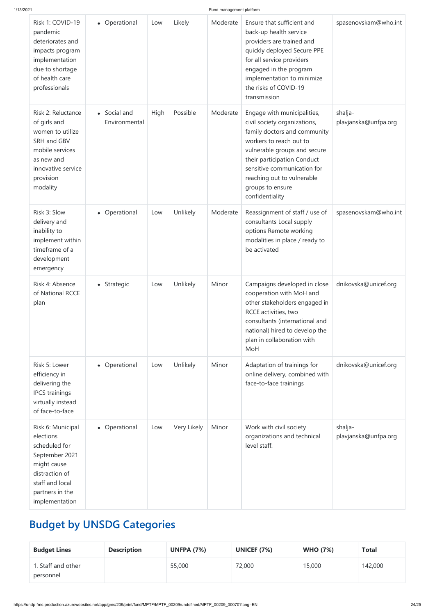| Risk 1: COVID-19<br>pandemic<br>deteriorates and<br>impacts program<br>implementation<br>due to shortage<br>of health care<br>professionals                | • Operational                  | Low         | Likely      | Moderate | Ensure that sufficient and<br>back-up health service<br>providers are trained and<br>quickly deployed Secure PPE<br>for all service providers<br>engaged in the program<br>implementation to minimize<br>the risks of COVID-19<br>transmission                                            | spasenovskam@who.int            |
|------------------------------------------------------------------------------------------------------------------------------------------------------------|--------------------------------|-------------|-------------|----------|-------------------------------------------------------------------------------------------------------------------------------------------------------------------------------------------------------------------------------------------------------------------------------------------|---------------------------------|
| Risk 2: Reluctance<br>of girls and<br>women to utilize<br>SRH and GBV<br>mobile services<br>as new and<br>innovative service<br>provision<br>modality      | • Social and<br>Environmental  | <b>High</b> | Possible    | Moderate | Engage with municipalities,<br>civil society organizations,<br>family doctors and community<br>workers to reach out to<br>vulnerable groups and secure<br>their participation Conduct<br>sensitive communication for<br>reaching out to vulnerable<br>groups to ensure<br>confidentiality | shalja-<br>plavjanska@unfpa.org |
| Risk 3: Slow<br>delivery and<br>inability to<br>implement within<br>timeframe of a<br>development<br>emergency                                             | • Operational                  | Low         | Unlikely    | Moderate | Reassignment of staff / use of<br>consultants Local supply<br>options Remote working<br>modalities in place / ready to<br>be activated                                                                                                                                                    | spasenovskam@who.int            |
| Risk 4: Absence<br>of National RCCE<br>plan                                                                                                                | • Strategic                    | Low         | Unlikely    | Minor    | Campaigns developed in close<br>cooperation with MoH and<br>other stakeholders engaged in<br>RCCE activities, two<br>consultants (international and<br>national) hired to develop the<br>plan in collaboration with<br>MoH                                                                | dnikovska@unicef.org            |
| Risk 5: Lower<br>efficiency in<br>delivering the<br><b>IPCS</b> trainings<br>virtually instead<br>of face-to-face                                          | Operational<br>$\blacklozenge$ | Low         | Unlikely    | Minor    | Adaptation of trainings for<br>online delivery, combined with<br>face-to-face trainings                                                                                                                                                                                                   | dnikovska@unicef.org            |
| Risk 6: Municipal<br>elections<br>scheduled for<br>September 2021<br>might cause<br>distraction of<br>staff and local<br>partners in the<br>implementation | • Operational                  | Low         | Very Likely | Minor    | Work with civil society<br>organizations and technical<br>level staff.                                                                                                                                                                                                                    | shalja-<br>plavjanska@unfpa.org |

# **Budget by UNSDG Categories**

| <b>Budget Lines</b>             | <b>Description</b> | <b>UNFPA (7%)</b> | <b>UNICEF (7%)</b> | <b>WHO (7%)</b> | <b>Total</b> |
|---------------------------------|--------------------|-------------------|--------------------|-----------------|--------------|
| 1. Staff and other<br>personnel |                    | 55,000            | 72,000             | 15,000          | 142,000      |